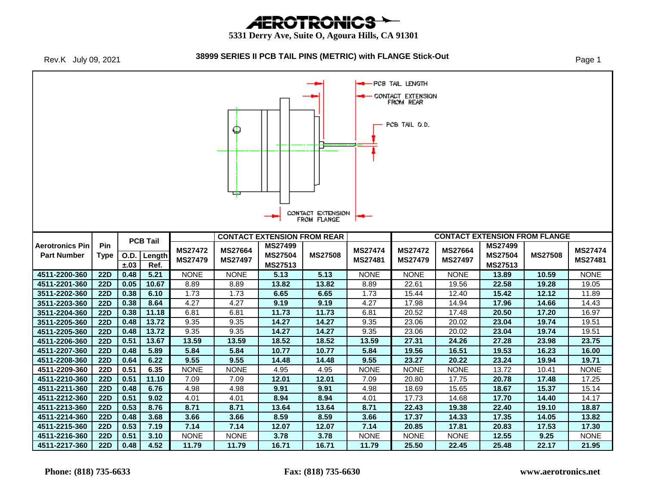#### **5331 Derry Ave, Suite O, Agoura Hills, CA 91301**



#### **38999 SERIES II PCB TAIL PINS (METRIC) with FLANGE Stick-Out** Page 1

-PCB TAIL LENGTH CONTACT EXTENSION FROM REAR PCB TAIL O.D. Ф ᄆ CONTACT EXTENSION FROM FLANGE **CONTACT EXTENSION FROM FLANGE CONTACT EXTENSION FROM REAR PCB Tail Aerotronics Pin Pin MS27499 MS27499 MS27472 MS27664 MS27508 MS27474 MS27472 MS27664 MS27508 MS27474 Part Number Type O.D. Length MS27504 MS27504 MS27479 MS27497 MS27481 MS27479 MS27497 MS27481 ±.03 Ref. MS27513 MS27513 4511-2200-360 22D 0.48 5.21** NONE NONE **5.13 5.13** NONE NONE NONE **13.89 10.59** NONE **4511-2201-360 22D 0.05 10.67** 8.89 8.89 **13.82 13.82** 8.89 22.61 19.56 **22.58 19.28** 19.05 **3511-2202-360 22D 0.38 6.10** 1.73 1.73 **6.65 6.65** 1.73 15.44 12.40 **15.42 12.12** 11.89 **3511-2203-360 22D 0.38 8.64** 4.27 4.27 **9.19 9.19** 4.27 17.98 14.94 **17.96 14.66** 14.43 **3511-2204-360 22D 0.38 11.18** 6.81 6.81 **11.73 11.73** 6.81 20.52 17.48 **20.50 17.20** 16.97 **3511-2205-360 22D 0.48 13.72** 9.35 9.35 **14.27 14.27** 9.35 23.06 20.02 **23.04 19.74** 19.51 **4511-2205-360 22D 0.48 13.72** 9.35 9.35 **14.27 14.27** 9.35 23.06 20.02 **23.04 19.74** 19.51 **4511-2206-360 22D 0.51 13.67 13.59 13.59 18.52 18.52 13.59 27.31 24.26 27.28 23.98 23.75 4511-2207-360 22D 0.48 5.89 5.84 5.84 10.77 10.77 5.84 19.56 16.51 19.53 16.23 16.00 4511-2208-360 22D 0.64 6.22 9.55 9.55 14.48 14.48 9.55 23.27 20.22 23.24 19.94 19.71 4511-2209-360 22D 0.51 6.35** NONE NONE 4.95 4.95 NONE NONE NONE 13.72 10.41 NONE **4511-2210-360 22D 0.51 11.10** 7.09 7.09 **12.01 12.01** 7.09 20.80 17.75 **20.78 17.48** 17.25 **4511-2211-360 22D 0.48 6.76** 4.98 4.98 **9.91 9.91** 4.98 18.69 15.65 **18.67 15.37** 15.14 **4511-2212-360 22D 0.51 9.02** 4.01 4.01 **8.94 8.94** 4.01 17.73 14.68 **17.70 14.40** 14.17 **4511-2213-360 22D 0.53 8.76 8.71 8.71 13.64 13.64 8.71 22.43 19.38 22.40 19.10 18.87 4511-2214-360 22D 0.48 3.68 3.66 3.66 8.59 8.59 3.66 17.37 14.33 17.35 14.05 13.82 4511-2215-360 22D 0.53 7.19 7.14 7.14 12.07 12.07 7.14 20.85 17.81 20.83 17.53 17.30 4511-2216-360 22D 0.51 3.10** NONE NONE **3.78 3.78** NONE NONE NONE **12.55 9.25** NONE **4511-2217-360 22D 0.48 4.52 11.79 11.79 16.71 16.71 11.79 25.50 22.45 25.48 22.17 21.95**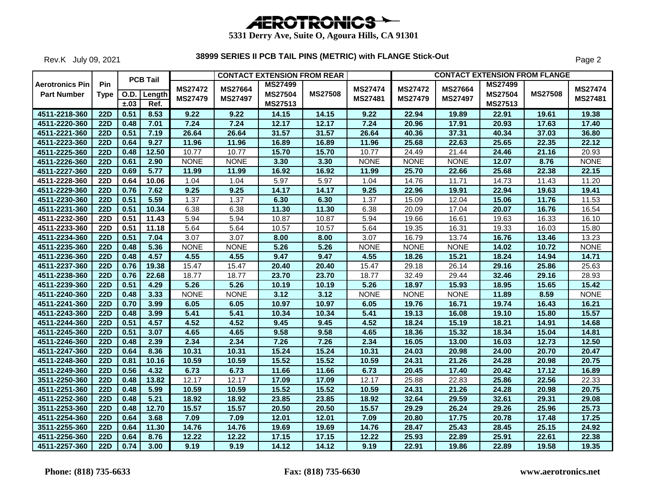Rev.K July 09, 2021

|                                              |                           |      | <b>PCB Tail</b>     |                                  |                                  | <b>CONTACT EXTENSION FROM REAR</b>          |                |                           |                                  |                                  |                                                    | <b>CONTACT EXTENSION FROM FLANGE</b> |                           |
|----------------------------------------------|---------------------------|------|---------------------|----------------------------------|----------------------------------|---------------------------------------------|----------------|---------------------------|----------------------------------|----------------------------------|----------------------------------------------------|--------------------------------------|---------------------------|
| <b>Aerotronics Pin</b><br><b>Part Number</b> | <b>Pin</b><br><b>Type</b> | ±.03 | O.D. Length<br>Ref. | <b>MS27472</b><br><b>MS27479</b> | <b>MS27664</b><br><b>MS27497</b> | <b>MS27499</b><br><b>MS27504</b><br>MS27513 | <b>MS27508</b> | <b>MS27474</b><br>MS27481 | <b>MS27472</b><br><b>MS27479</b> | <b>MS27664</b><br><b>MS27497</b> | <b>MS27499</b><br><b>MS27504</b><br><b>MS27513</b> | <b>MS27508</b>                       | <b>MS27474</b><br>MS27481 |
| 4511-2218-360                                | <b>22D</b>                | 0.51 | 8.53                | 9.22                             | 9.22                             | 14.15                                       | 14.15          | 9.22                      | 22.94                            | 19.89                            | 22.91                                              | 19.61                                | 19.38                     |
| 4511-2220-360                                | <b>22D</b>                | 0.48 | 7.01                | 7.24                             | 7.24                             | 12.17                                       | 12.17          | 7.24                      | 20.96                            | 17.91                            | 20.93                                              | 17.63                                | 17.40                     |
| 4511-2221-360                                | <b>22D</b>                | 0.51 | 7.19                | 26.64                            | 26.64                            | 31.57                                       | 31.57          | 26.64                     | 40.36                            | 37.31                            | 40.34                                              | 37.03                                | 36.80                     |
| 4511-2223-360                                | <b>22D</b>                | 0.64 | 9.27                | 11.96                            | 11.96                            | 16.89                                       | 16.89          | 11.96                     | 25.68                            | 22.63                            | 25.65                                              | 22.35                                | 22.12                     |
| 4511-2225-360                                | <b>22D</b>                | 0.48 | 12.50               | 10.77                            | 10.77                            | 15.70                                       | 15.70          | 10.77                     | 24.49                            | 21.44                            | 24.46                                              | 21.16                                | 20.93                     |
| 4511-2226-360                                | <b>22D</b>                | 0.61 | 2.90                | <b>NONE</b>                      | <b>NONE</b>                      | 3.30                                        | 3.30           | <b>NONE</b>               | <b>NONE</b>                      | <b>NONE</b>                      | 12.07                                              | 8.76                                 | <b>NONE</b>               |
| 4511-2227-360                                | <b>22D</b>                | 0.69 | 5.77                | 11.99                            | 11.99                            | 16.92                                       | 16.92          | 11.99                     | 25.70                            | 22.66                            | 25.68                                              | 22.38                                | 22.15                     |
| 4511-2228-360                                | <b>22D</b>                | 0.64 | 10.06               | 1.04                             | 1.04                             | 5.97                                        | 5.97           | 1.04                      | 14.76                            | 11.71                            | 14.73                                              | 11.43                                | 11.20                     |
| 4511-2229-360                                | <b>22D</b>                | 0.76 | 7.62                | 9.25                             | 9.25                             | 14.17                                       | 14.17          | 9.25                      | 22.96                            | 19.91                            | 22.94                                              | 19.63                                | 19.41                     |
| 4511-2230-360                                | <b>22D</b>                | 0.51 | 5.59                | 1.37                             | 1.37                             | 6.30                                        | 6.30           | 1.37                      | 15.09                            | 12.04                            | 15.06                                              | 11.76                                | 11.53                     |
| 4511-2231-360                                | <b>22D</b>                | 0.51 | 10.34               | 6.38                             | 6.38                             | 11.30                                       | 11.30          | 6.38                      | 20.09                            | 17.04                            | 20.07                                              | 16.76                                | 16.54                     |
| 4511-2232-360                                | <b>22D</b>                | 0.51 | 11.43               | 5.94                             | 5.94                             | 10.87                                       | 10.87          | 5.94                      | 19.66                            | 16.61                            | 19.63                                              | 16.33                                | 16.10                     |
| 4511-2233-360                                | <b>22D</b>                | 0.51 | 11.18               | 5.64                             | 5.64                             | 10.57                                       | 10.57          | 5.64                      | 19.35                            | 16.31                            | 19.33                                              | 16.03                                | 15.80                     |
| 4511-2234-360                                | <b>22D</b>                | 0.51 | 7.04                | 3.07                             | 3.07                             | 8.00                                        | 8.00           | 3.07                      | 16.79                            | 13.74                            | 16.76                                              | 13.46                                | 13.23                     |
| 4511-2235-360                                | <b>22D</b>                | 0.48 | 5.36                | <b>NONE</b>                      | <b>NONE</b>                      | 5.26                                        | 5.26           | <b>NONE</b>               | <b>NONE</b>                      | <b>NONE</b>                      | 14.02                                              | 10.72                                | <b>NONE</b>               |
| 4511-2236-360                                | 22D                       | 0.48 | 4.57                | 4.55                             | 4.55                             | 9.47                                        | 9.47           | 4.55                      | 18.26                            | 15.21                            | 18.24                                              | 14.94                                | 14.71                     |
| 4511-2237-360                                | 22D                       | 0.76 | 19.38               | 15.47                            | 15.47                            | 20.40                                       | 20.40          | 15.47                     | 29.18                            | 26.14                            | 29.16                                              | 25.86                                | 25.63                     |
| 4511-2238-360                                | <b>22D</b>                | 0.76 | 22.68               | 18.77                            | 18.77                            | 23.70                                       | 23.70          | 18.77                     | 32.49                            | 29.44                            | 32.46                                              | 29.16                                | 28.93                     |
| 4511-2239-360                                | <b>22D</b>                | 0.51 | 4.29                | 5.26                             | 5.26                             | 10.19                                       | 10.19          | 5.26                      | 18.97                            | 15.93                            | 18.95                                              | 15.65                                | 15.42                     |
| 4511-2240-360                                | <b>22D</b>                | 0.48 | 3.33                | <b>NONE</b>                      | <b>NONE</b>                      | 3.12                                        | 3.12           | <b>NONE</b>               | <b>NONE</b>                      | <b>NONE</b>                      | 11.89                                              | 8.59                                 | <b>NONE</b>               |
| 4511-2241-360                                | 22D                       | 0.70 | 3.99                | 6.05                             | 6.05                             | 10.97                                       | 10.97          | 6.05                      | 19.76                            | 16.71                            | 19.74                                              | 16.43                                | 16.21                     |
| 4511-2243-360                                | <b>22D</b>                | 0.48 | 3.99                | 5.41                             | 5.41                             | 10.34                                       | 10.34          | 5.41                      | 19.13                            | 16.08                            | 19.10                                              | 15.80                                | 15.57                     |
| 4511-2244-360                                | <b>22D</b>                | 0.51 | 4.57                | 4.52                             | 4.52                             | 9.45                                        | 9.45           | 4.52                      | 18.24                            | 15.19                            | 18.21                                              | 14.91                                | 14.68                     |
| 4511-2245-360                                | <b>22D</b>                | 0.51 | 3.07                | 4.65                             | 4.65                             | 9.58                                        | 9.58           | 4.65                      | 18.36                            | 15.32                            | 18.34                                              | 15.04                                | 14.81                     |
| 4511-2246-360                                | $\overline{22D}$          | 0.48 | 2.39                | 2.34                             | 2.34                             | 7.26                                        | 7.26           | 2.34                      | 16.05                            | 13.00                            | 16.03                                              | 12.73                                | 12.50                     |
| 4511-2247-360                                | <b>22D</b>                | 0.64 | 8.36                | 10.31                            | 10.31                            | 15.24                                       | 15.24          | 10.31                     | 24.03                            | 20.98                            | 24.00                                              | 20.70                                | 20.47                     |
| 4511-2248-360                                | <b>22D</b>                | 0.81 | 10.16               | 10.59                            | 10.59                            | 15.52                                       | 15.52          | 10.59                     | 24.31                            | 21.26                            | 24.28                                              | 20.98                                | 20.75                     |
| 4511-2249-360                                | <b>22D</b>                | 0.56 | 4.32                | 6.73                             | 6.73                             | 11.66                                       | 11.66          | 6.73                      | 20.45                            | 17.40                            | 20.42                                              | 17.12                                | 16.89                     |
| 3511-2250-360                                | <b>22D</b>                | 0.48 | 13.82               | 12.17                            | 12.17                            | 17.09                                       | 17.09          | 12.17                     | 25.88                            | 22.83                            | 25.86                                              | 22.56                                | 22.33                     |
| 4511-2251-360                                | <b>22D</b>                | 0.48 | 5.99                | 10.59                            | 10.59                            | 15.52                                       | 15.52          | 10.59                     | 24.31                            | 21.26                            | 24.28                                              | 20.98                                | 20.75                     |
| 4511-2252-360                                | <b>22D</b>                | 0.48 | 5.21                | 18.92                            | 18.92                            | 23.85                                       | 23.85          | 18.92                     | 32.64                            | 29.59                            | 32.61                                              | 29.31                                | 29.08                     |
| 3511-2253-360                                | $\overline{22D}$          | 0.48 | 12.70               | 15.57                            | 15.57                            | 20.50                                       | 20.50          | 15.57                     | 29.29                            | 26.24                            | 29.26                                              | 25.96                                | 25.73                     |
| 4511-2254-360                                | <b>22D</b>                | 0.64 | 3.68                | 7.09                             | 7.09                             | 12.01                                       | 12.01          | 7.09                      | 20.80                            | 17.75                            | 20.78                                              | 17.48                                | 17.25                     |
| 3511-2255-360                                | <b>22D</b>                | 0.64 | 11.30               | 14.76                            | 14.76                            | 19.69                                       | 19.69          | 14.76                     | 28.47                            | 25.43                            | 28.45                                              | 25.15                                | 24.92                     |
| 4511-2256-360                                | <b>22D</b>                | 0.64 | 8.76                | 12.22                            | 12.22                            | 17.15                                       | 17.15          | 12.22                     | 25.93                            | 22.89                            | 25.91                                              | 22.61                                | 22.38                     |
| 4511-2257-360                                | $\overline{22D}$          | 0.74 | 3.00                | 9.19                             | 9.19                             | 14.12                                       | 14.12          | 9.19                      | 22.91                            | 19.86                            | 22.89                                              | 19.58                                | 19.35                     |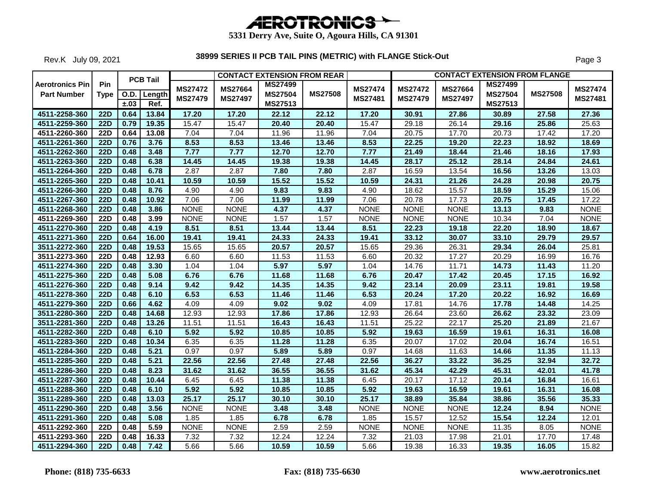Rev.K July 09, 2021

|                                              |                    |      | <b>PCB Tail</b>     |                           |                                  | <b>CONTACT EXTENSION FROM REAR</b>          |                |                           |                                  |                           |                                             | <b>CONTACT EXTENSION FROM FLANGE</b> |                           |
|----------------------------------------------|--------------------|------|---------------------|---------------------------|----------------------------------|---------------------------------------------|----------------|---------------------------|----------------------------------|---------------------------|---------------------------------------------|--------------------------------------|---------------------------|
| <b>Aerotronics Pin</b><br><b>Part Number</b> | Pin<br><b>Type</b> | ±.03 | O.D. Length<br>Ref. | <b>MS27472</b><br>MS27479 | <b>MS27664</b><br><b>MS27497</b> | <b>MS27499</b><br><b>MS27504</b><br>MS27513 | <b>MS27508</b> | <b>MS27474</b><br>MS27481 | <b>MS27472</b><br><b>MS27479</b> | MS27664<br><b>MS27497</b> | <b>MS27499</b><br><b>MS27504</b><br>MS27513 | <b>MS27508</b>                       | <b>MS27474</b><br>MS27481 |
| 4511-2258-360                                | 22D                | 0.64 | 13.84               | 17.20                     | 17.20                            | 22.12                                       | 22.12          | 17.20                     | 30.91                            | 27.86                     | 30.89                                       | 27.58                                | 27.36                     |
| 4511-2259-360                                | 22D                | 0.79 | 19.35               | 15.47                     | 15.47                            | 20.40                                       | 20.40          | 15.47                     | 29.18                            | 26.14                     | 29.16                                       | 25.86                                | 25.63                     |
| 4511-2260-360                                | <b>22D</b>         | 0.64 | 13.08               | 7.04                      | 7.04                             | 11.96                                       | 11.96          | 7.04                      | 20.75                            | 17.70                     | 20.73                                       | 17.42                                | 17.20                     |
| 4511-2261-360                                | <b>22D</b>         | 0.76 | 3.76                | 8.53                      | 8.53                             | 13.46                                       | 13.46          | 8.53                      | 22.25                            | 19.20                     | 22.23                                       | 18.92                                | 18.69                     |
| 4511-2262-360                                | <b>22D</b>         | 0.48 | 3.48                | 7.77                      | 7.77                             | 12.70                                       | 12.70          | 7.77                      | 21.49                            | 18.44                     | 21.46                                       | 18.16                                | 17.93                     |
| 4511-2263-360                                | <b>22D</b>         | 0.48 | 6.38                | 14.45                     | 14.45                            | 19.38                                       | 19.38          | 14.45                     | 28.17                            | 25.12                     | 28.14                                       | 24.84                                | 24.61                     |
| 4511-2264-360                                | <b>22D</b>         | 0.48 | 6.78                | 2.87                      | 2.87                             | 7.80                                        | 7.80           | 2.87                      | 16.59                            | 13.54                     | 16.56                                       | 13.26                                | 13.03                     |
| 4511-2265-360                                | <b>22D</b>         | 0.48 | 10.41               | 10.59                     | 10.59                            | 15.52                                       | 15.52          | 10.59                     | 24.31                            | 21.26                     | 24.28                                       | 20.98                                | 20.75                     |
| 4511-2266-360                                | <b>22D</b>         | 0.48 | 8.76                | 4.90                      | 4.90                             | 9.83                                        | 9.83           | 4.90                      | 18.62                            | 15.57                     | 18.59                                       | 15.29                                | 15.06                     |
| 4511-2267-360                                | 22D                | 0.48 | 10.92               | 7.06                      | 7.06                             | 11.99                                       | 11.99          | 7.06                      | 20.78                            | 17.73                     | 20.75                                       | 17.45                                | 17.22                     |
| 4511-2268-360                                | <b>22D</b>         | 0.48 | 3.86                | <b>NONE</b>               | <b>NONE</b>                      | 4.37                                        | 4.37           | <b>NONE</b>               | <b>NONE</b>                      | <b>NONE</b>               | 13.13                                       | 9.83                                 | <b>NONE</b>               |
| 4511-2269-360                                | <b>22D</b>         | 0.48 | 3.99                | <b>NONE</b>               | <b>NONE</b>                      | 1.57                                        | 1.57           | <b>NONE</b>               | <b>NONE</b>                      | <b>NONE</b>               | 10.34                                       | 7.04                                 | <b>NONE</b>               |
| 4511-2270-360                                | <b>22D</b>         | 0.48 | 4.19                | 8.51                      | 8.51                             | 13.44                                       | 13.44          | 8.51                      | 22.23                            | 19.18                     | 22.20                                       | 18.90                                | 18.67                     |
| 4511-2271-360                                | <b>22D</b>         | 0.64 | 16.00               | 19.41                     | 19.41                            | 24.33                                       | 24.33          | 19.41                     | 33.12                            | 30.07                     | 33.10                                       | 29.79                                | 29.57                     |
| 3511-2272-360                                | 22D                | 0.48 | 19.53               | 15.65                     | 15.65                            | 20.57                                       | 20.57          | 15.65                     | 29.36                            | 26.31                     | 29.34                                       | 26.04                                | 25.81                     |
| 3511-2273-360                                | $\overline{22D}$   | 0.48 | 12.93               | 6.60                      | 6.60                             | 11.53                                       | 11.53          | 6.60                      | 20.32                            | 17.27                     | 20.29                                       | 16.99                                | 16.76                     |
| 4511-2274-360                                | 22D                | 0.48 | 3.30                | 1.04                      | 1.04                             | 5.97                                        | 5.97           | 1.04                      | 14.76                            | 11.71                     | 14.73                                       | 11.43                                | 11.20                     |
| 4511-2275-360                                | <b>22D</b>         | 0.48 | 5.08                | 6.76                      | 6.76                             | 11.68                                       | 11.68          | 6.76                      | 20.47                            | 17.42                     | 20.45                                       | 17.15                                | 16.92                     |
| 4511-2276-360                                | <b>22D</b>         | 0.48 | 9.14                | 9.42                      | 9.42                             | 14.35                                       | 14.35          | 9.42                      | 23.14                            | 20.09                     | 23.11                                       | 19.81                                | 19.58                     |
| 4511-2278-360                                | <b>22D</b>         | 0.48 | 6.10                | 6.53                      | 6.53                             | 11.46                                       | 11.46          | 6.53                      | 20.24                            | 17.20                     | 20.22                                       | 16.92                                | 16.69                     |
| 4511-2279-360                                | <b>22D</b>         | 0.66 | 4.62                | 4.09                      | 4.09                             | 9.02                                        | 9.02           | 4.09                      | 17.81                            | 14.76                     | 17.78                                       | 14.48                                | 14.25                     |
| 3511-2280-360                                | <b>22D</b>         | 0.48 | 14.68               | 12.93                     | 12.93                            | 17.86                                       | 17.86          | 12.93                     | 26.64                            | 23.60                     | 26.62                                       | 23.32                                | 23.09                     |
| 3511-2281-360                                | 22D                | 0.48 | 13.26               | 11.51                     | 11.51                            | 16.43                                       | 16.43          | 11.51                     | 25.22                            | 22.17                     | 25.20                                       | 21.89                                | 21.67                     |
| 4511-2282-360                                | 22D                | 0.48 | 6.10                | 5.92                      | 5.92                             | 10.85                                       | 10.85          | 5.92                      | 19.63                            | 16.59                     | 19.61                                       | 16.31                                | 16.08                     |
| 4511-2283-360                                | <b>22D</b>         | 0.48 | 10.34               | 6.35                      | 6.35                             | 11.28                                       | 11.28          | 6.35                      | 20.07                            | 17.02                     | 20.04                                       | 16.74                                | 16.51                     |
| 4511-2284-360                                | <b>22D</b>         | 0.48 | 5.21                | 0.97                      | 0.97                             | 5.89                                        | 5.89           | 0.97                      | 14.68                            | 11.63                     | 14.66                                       | 11.35                                | 11.13                     |
| 4511-2285-360                                | <b>22D</b>         | 0.48 | 5.21                | 22.56                     | 22.56                            | 27.48                                       | 27.48          | 22.56                     | 36.27                            | 33.22                     | 36.25                                       | 32.94                                | 32.72                     |
| 4511-2286-360                                | 22D                | 0.48 | 8.23                | 31.62                     | 31.62                            | 36.55                                       | 36.55          | 31.62                     | 45.34                            | 42.29                     | 45.31                                       | 42.01                                | 41.78                     |
| 4511-2287-360                                | <b>22D</b>         | 0.48 | 10.44               | 6.45                      | 6.45                             | 11.38                                       | 11.38          | 6.45                      | 20.17                            | 17.12                     | 20.14                                       | 16.84                                | 16.61                     |
| 4511-2288-360                                | <b>22D</b>         | 0.48 | 6.10                | 5.92                      | 5.92                             | 10.85                                       | 10.85          | 5.92                      | 19.63                            | 16.59                     | 19.61                                       | 16.31                                | 16.08                     |
| 3511-2289-360                                | <b>22D</b>         | 0.48 | 13.03               | 25.17                     | 25.17                            | 30.10                                       | 30.10          | 25.17                     | 38.89                            | 35.84                     | 38.86                                       | 35.56                                | 35.33                     |
| 4511-2290-360                                | <b>22D</b>         | 0.48 | 3.56                | <b>NONE</b>               | <b>NONE</b>                      | 3.48                                        | 3.48           | <b>NONE</b>               | <b>NONE</b>                      | <b>NONE</b>               | 12.24                                       | 8.94                                 | <b>NONE</b>               |
| 4511-2291-360                                | <b>22D</b>         | 0.48 | 5.08                | 1.85                      | 1.85                             | 6.78                                        | 6.78           | 1.85                      | 15.57                            | 12.52                     | 15.54                                       | 12.24                                | 12.01                     |
| 4511-2292-360                                | <b>22D</b>         | 0.48 | 5.59                | <b>NONE</b>               | <b>NONE</b>                      | 2.59                                        | 2.59           | <b>NONE</b>               | <b>NONE</b>                      | <b>NONE</b>               | 11.35                                       | 8.05                                 | <b>NONE</b>               |
| 4511-2293-360                                | <b>22D</b>         | 0.48 | 16.33               | 7.32                      | 7.32                             | 12.24                                       | 12.24          | 7.32                      | 21.03                            | 17.98                     | 21.01                                       | 17.70                                | 17.48                     |
| 4511-2294-360                                | <b>22D</b>         | 0.48 | 7.42                | 5.66                      | 5.66                             | 10.59                                       | 10.59          | 5.66                      | 19.38                            | 16.33                     | 19.35                                       | 16.05                                | 15.82                     |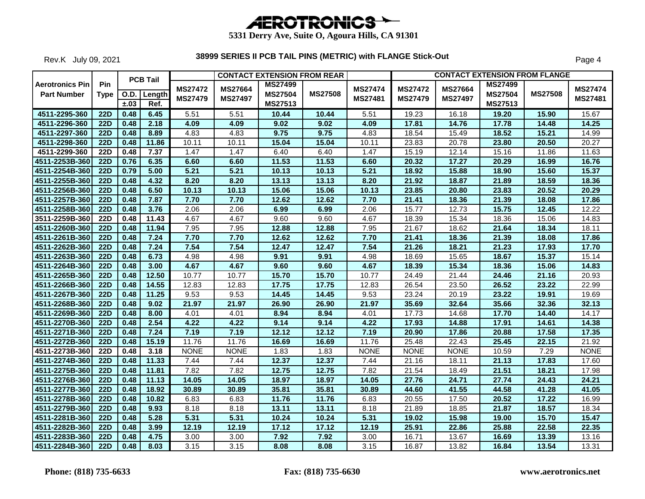**5331 Derry Ave, Suite O, Agoura Hills, CA 91301**

Rev.K July 09, 2021

|                                              |                           |      | <b>PCB Tail</b>       |                           |                                  | <b>CONTACT EXTENSION FROM REAR</b>          |                |                           |                                  |                                  | <b>CONTACT EXTENSION FROM FLANGE</b>        |                |                           |
|----------------------------------------------|---------------------------|------|-----------------------|---------------------------|----------------------------------|---------------------------------------------|----------------|---------------------------|----------------------------------|----------------------------------|---------------------------------------------|----------------|---------------------------|
| <b>Aerotronics Pin</b><br><b>Part Number</b> | <b>Pin</b><br><b>Type</b> | ±.03 | O.D.   Length<br>Ref. | <b>MS27472</b><br>MS27479 | <b>MS27664</b><br><b>MS27497</b> | <b>MS27499</b><br><b>MS27504</b><br>MS27513 | <b>MS27508</b> | <b>MS27474</b><br>MS27481 | <b>MS27472</b><br><b>MS27479</b> | <b>MS27664</b><br><b>MS27497</b> | <b>MS27499</b><br><b>MS27504</b><br>MS27513 | <b>MS27508</b> | <b>MS27474</b><br>MS27481 |
| 4511-2295-360                                | <b>22D</b>                | 0.48 | 6.45                  | 5.51                      | 5.51                             | 10.44                                       | 10.44          | 5.51                      | 19.23                            | 16.18                            | 19.20                                       | 15.90          | 15.67                     |
| 4511-2296-360                                | <b>22D</b>                | 0.48 | 2.18                  | 4.09                      | 4.09                             | 9.02                                        | 9.02           | 4.09                      | 17.81                            | 14.76                            | 17.78                                       | 14.48          | 14.25                     |
| 4511-2297-360                                | <b>22D</b>                | 0.48 | 8.89                  | 4.83                      | 4.83                             | 9.75                                        | 9.75           | 4.83                      | 18.54                            | 15.49                            | 18.52                                       | 15.21          | 14.99                     |
| 4511-2298-360                                | <b>22D</b>                | 0.48 | 11.86                 | 10.11                     | 10.11                            | 15.04                                       | 15.04          | 10.11                     | 23.83                            | 20.78                            | 23.80                                       | 20.50          | 20.27                     |
| 4511-2299-360                                | <b>22D</b>                | 0.48 | 7.37                  | 1.47                      | 1.47                             | 6.40                                        | 6.40           | 1.47                      | 15.19                            | 12.14                            | 15.16                                       | 11.86          | 11.63                     |
| 4511-2253B-360                               | <b>22D</b>                | 0.76 | 6.35                  | 6.60                      | 6.60                             | 11.53                                       | 11.53          | 6.60                      | 20.32                            | 17.27                            | 20.29                                       | 16.99          | 16.76                     |
| 4511-2254B-360                               | <b>22D</b>                | 0.79 | 5.00                  | 5.21                      | 5.21                             | 10.13                                       | 10.13          | 5.21                      | 18.92                            | 15.88                            | 18.90                                       | 15.60          | 15.37                     |
| 4511-2255B-360                               | <b>22D</b>                | 0.48 | 4.32                  | 8.20                      | 8.20                             | 13.13                                       | 13.13          | 8.20                      | 21.92                            | 18.87                            | 21.89                                       | 18.59          | 18.36                     |
| 4511-2256B-360                               | <b>22D</b>                | 0.48 | 6.50                  | 10.13                     | 10.13                            | 15.06                                       | 15.06          | 10.13                     | 23.85                            | 20.80                            | 23.83                                       | 20.52          | 20.29                     |
| 4511-2257B-360                               | <b>22D</b>                | 0.48 | 7.87                  | 7.70                      | 7.70                             | 12.62                                       | 12.62          | 7.70                      | 21.41                            | 18.36                            | 21.39                                       | 18.08          | 17.86                     |
| 4511-2258B-360                               | <b>22D</b>                | 0.48 | 3.76                  | 2.06                      | 2.06                             | 6.99                                        | 6.99           | 2.06                      | 15.77                            | 12.73                            | 15.75                                       | 12.45          | 12.22                     |
| 3511-2259B-360                               | <b>22D</b>                | 0.48 | 11.43                 | 4.67                      | 4.67                             | 9.60                                        | 9.60           | 4.67                      | 18.39                            | 15.34                            | 18.36                                       | 15.06          | 14.83                     |
| 4511-2260B-360                               | <b>22D</b>                | 0.48 | 11.94                 | 7.95                      | 7.95                             | 12.88                                       | 12.88          | 7.95                      | 21.67                            | 18.62                            | 21.64                                       | 18.34          | 18.11                     |
| 4511-2261B-360                               | <b>22D</b>                | 0.48 | 7.24                  | 7.70                      | 7.70                             | 12.62                                       | 12.62          | 7.70                      | 21.41                            | 18.36                            | 21.39                                       | 18.08          | 17.86                     |
| 4511-2262B-360                               | <b>22D</b>                | 0.48 | 7.24                  | 7.54                      | 7.54                             | 12.47                                       | 12.47          | 7.54                      | 21.26                            | 18.21                            | 21.23                                       | 17.93          | 17.70                     |
| 4511-2263B-360                               | 22D                       | 0.48 | 6.73                  | 4.98                      | 4.98                             | 9.91                                        | 9.91           | 4.98                      | 18.69                            | 15.65                            | 18.67                                       | 15.37          | 15.14                     |
| 4511-2264B-360                               | 22D                       | 0.48 | 3.00                  | 4.67                      | 4.67                             | 9.60                                        | 9.60           | 4.67                      | 18.39                            | 15.34                            | 18.36                                       | 15.06          | 14.83                     |
| 4511-2265B-360                               | <b>22D</b>                | 0.48 | 12.50                 | 10.77                     | 10.77                            | 15.70                                       | 15.70          | 10.77                     | 24.49                            | 21.44                            | 24.46                                       | 21.16          | 20.93                     |
| 4511-2266B-360                               | <b>22D</b>                | 0.48 | 14.55                 | 12.83                     | 12.83                            | 17.75                                       | 17.75          | 12.83                     | 26.54                            | 23.50                            | 26.52                                       | 23.22          | 22.99                     |
| 4511-2267B-360                               | <b>22D</b>                | 0.48 | 11.25                 | 9.53                      | 9.53                             | 14.45                                       | 14.45          | 9.53                      | 23.24                            | 20.19                            | 23.22                                       | 19.91          | 19.69                     |
| 4511-2268B-360                               | 22D                       | 0.48 | 9.02                  | 21.97                     | 21.97                            | 26.90                                       | 26.90          | 21.97                     | 35.69                            | 32.64                            | 35.66                                       | 32.36          | 32.13                     |
| 4511-2269B-360                               | <b>22D</b>                | 0.48 | 8.00                  | 4.01                      | 4.01                             | 8.94                                        | 8.94           | 4.01                      | 17.73                            | 14.68                            | 17.70                                       | 14.40          | 14.17                     |
| 4511-2270B-360                               | <b>22D</b>                | 0.48 | 2.54                  | 4.22                      | 4.22                             | 9.14                                        | 9.14           | 4.22                      | 17.93                            | 14.88                            | 17.91                                       | 14.61          | 14.38                     |
| 4511-2271B-360                               | <b>22D</b>                | 0.48 | 7.24                  | 7.19                      | 7.19                             | 12.12                                       | 12.12          | 7.19                      | 20.90                            | 17.86                            | 20.88                                       | 17.58          | 17.35                     |
| 4511-2272B-360                               | $\overline{22D}$          | 0.48 | 15.19                 | 11.76                     | 11.76                            | 16.69                                       | 16.69          | 11.76                     | 25.48                            | 22.43                            | 25.45                                       | 22.15          | 21.92                     |
| 4511-2273B-360                               | <b>22D</b>                | 0.48 | 3.18                  | <b>NONE</b>               | <b>NONE</b>                      | 1.83                                        | 1.83           | <b>NONE</b>               | <b>NONE</b>                      | <b>NONE</b>                      | 10.59                                       | 7.29           | <b>NONE</b>               |
| 4511-2274B-360                               | <b>22D</b>                | 0.48 | 11.33                 | 7.44                      | 7.44                             | 12.37                                       | 12.37          | 7.44                      | 21.16                            | 18.11                            | 21.13                                       | 17.83          | 17.60                     |
| 4511-2275B-360                               | <b>22D</b>                | 0.48 | 11.81                 | 7.82                      | 7.82                             | 12.75                                       | 12.75          | 7.82                      | 21.54                            | 18.49                            | 21.51                                       | 18.21          | 17.98                     |
| 4511-2276B-360                               | <b>22D</b>                | 0.48 | 11.13                 | 14.05                     | 14.05                            | 18.97                                       | 18.97          | 14.05                     | 27.76                            | 24.71                            | 27.74                                       | 24.43          | 24.21                     |
| 4511-2277B-360                               | <b>22D</b>                | 0.48 | 18.92                 | 30.89                     | 30.89                            | 35.81                                       | 35.81          | 30.89                     | 44.60                            | 41.55                            | 44.58                                       | 41.28          | 41.05                     |
| 4511-2278B-360                               | <b>22D</b>                | 0.48 | 10.82                 | 6.83                      | 6.83                             | 11.76                                       | 11.76          | 6.83                      | 20.55                            | 17.50                            | 20.52                                       | 17.22          | 16.99                     |
| 4511-2279B-360                               | <b>22D</b>                | 0.48 | 9.93                  | 8.18                      | 8.18                             | 13.11                                       | 13.11          | 8.18                      | 21.89                            | 18.85                            | 21.87                                       | 18.57          | 18.34                     |
| 4511-2281B-360                               | <b>22D</b>                | 0.48 | 5.28                  | 5.31                      | 5.31                             | 10.24                                       | 10.24          | 5.31                      | 19.02                            | 15.98                            | 19.00                                       | 15.70          | 15.47                     |
| 4511-2282B-360                               | <b>22D</b>                | 0.48 | 3.99                  | 12.19                     | 12.19                            | 17.12                                       | 17.12          | 12.19                     | 25.91                            | 22.86                            | 25.88                                       | 22.58          | 22.35                     |
| 4511-2283B-360                               | <b>22D</b>                | 0.48 | 4.75                  | 3.00                      | 3.00                             | 7.92                                        | 7.92           | 3.00                      | 16.71                            | 13.67                            | 16.69                                       | 13.39          | 13.16                     |
| 4511-2284B-360                               | $\overline{22D}$          | 0.48 | 8.03                  | 3.15                      | 3.15                             | 8.08                                        | 8.08           | 3.15                      | 16.87                            | 13.82                            | 16.84                                       | 13.54          | 13.31                     |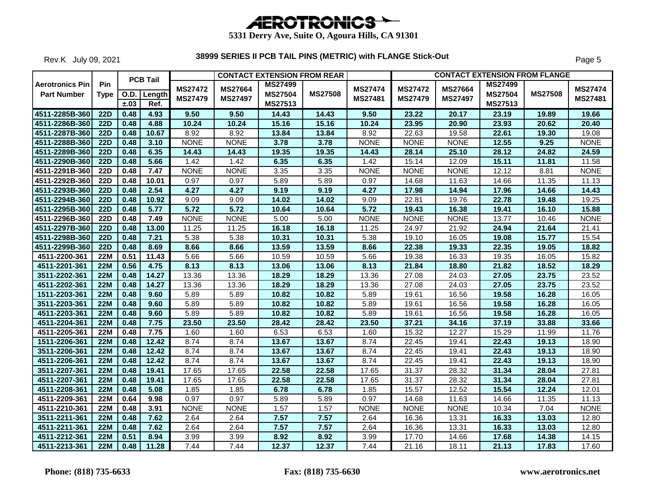

Rev.K July 09, 2021

|                                              |                    |      | <b>PCB Tail</b>     |                                  |                                  | <b>CONTACT EXTENSION FROM REAR</b>   |                |                                  |                                  |                                  | <b>CONTACT EXTENSION FROM FLANGE</b>        |                |                           |
|----------------------------------------------|--------------------|------|---------------------|----------------------------------|----------------------------------|--------------------------------------|----------------|----------------------------------|----------------------------------|----------------------------------|---------------------------------------------|----------------|---------------------------|
| <b>Aerotronics Pin</b><br><b>Part Number</b> | Pin<br><b>Type</b> | ±.03 | O.D. Length<br>Ref. | <b>MS27472</b><br><b>MS27479</b> | <b>MS27664</b><br><b>MS27497</b> | <b>MS27499</b><br>MS27504<br>MS27513 | <b>MS27508</b> | <b>MS27474</b><br><b>MS27481</b> | <b>MS27472</b><br><b>MS27479</b> | <b>MS27664</b><br><b>MS27497</b> | <b>MS27499</b><br><b>MS27504</b><br>MS27513 | <b>MS27508</b> | <b>MS27474</b><br>MS27481 |
| 4511-2285B-360                               | 22D                | 0.48 | 4.93                | 9.50                             | 9.50                             | 14.43                                | 14.43          | 9.50                             | 23.22                            | 20.17                            | 23.19                                       | 19.89          | 19.66                     |
| 4511-2286B-360                               | <b>22D</b>         | 0.48 | 4.88                | 10.24                            | 10.24                            | 15.16                                | 15.16          | 10.24                            | 23.95                            | 20.90                            | 23.93                                       | 20.62          | 20.40                     |
| 4511-2287B-360                               | <b>22D</b>         | 0.48 | 10.67               | 8.92                             | 8.92                             | 13.84                                | 13.84          | 8.92                             | 22.63                            | 19.58                            | 22.61                                       | 19.30          | 19.08                     |
| 4511-2288B-360                               | <b>22D</b>         | 0.48 | 3.10                | <b>NONE</b>                      | <b>NONE</b>                      | 3.78                                 | 3.78           | <b>NONE</b>                      | <b>NONE</b>                      | <b>NONE</b>                      | 12.55                                       | 9.25           | <b>NONE</b>               |
| 4511-2289B-360                               | <b>22D</b>         | 0.48 | 6.35                | 14.43                            | 14.43                            | 19.35                                | 19.35          | 14.43                            | 28.14                            | 25.10                            | 28.12                                       | 24.82          | 24.59                     |
| 4511-2290B-360                               | <b>22D</b>         | 0.48 | 5.66                | 1.42                             | 1.42                             | 6.35                                 | 6.35           | 1.42                             | 15.14                            | 12.09                            | 15.11                                       | 11.81          | 11.58                     |
| 4511-2291B-360                               | <b>22D</b>         | 0.48 | 7.47                | <b>NONE</b>                      | <b>NONE</b>                      | 3.35                                 | 3.35           | <b>NONE</b>                      | <b>NONE</b>                      | <b>NONE</b>                      | 12.12                                       | 8.81           | <b>NONE</b>               |
| 4511-2292B-360                               | <b>22D</b>         | 0.48 | 10.01               | 0.97                             | 0.97                             | 5.89                                 | 5.89           | 0.97                             | 14.68                            | 11.63                            | 14.66                                       | 11.35          | 11.13                     |
| 4511-2293B-360                               | <b>22D</b>         | 0.48 | 2.54                | 4.27                             | 4.27                             | 9.19                                 | 9.19           | 4.27                             | 17.98                            | 14.94                            | 17.96                                       | 14.66          | 14.43                     |
| 4511-2294B-360                               | $\overline{22D}$   | 0.48 | 10.92               | 9.09                             | 9.09                             | 14.02                                | 14.02          | 9.09                             | 22.81                            | 19.76                            | 22.78                                       | 19.48          | 19.25                     |
| 4511-2295B-360                               | <b>22D</b>         | 0.48 | 5.77                | 5.72                             | 5.72                             | 10.64                                | 10.64          | 5.72                             | 19.43                            | 16.38                            | 19.41                                       | 16.10          | 15.88                     |
| 4511-2296B-360                               | <b>22D</b>         | 0.48 | 7.49                | <b>NONE</b>                      | <b>NONE</b>                      | 5.00                                 | 5.00           | <b>NONE</b>                      | <b>NONE</b>                      | <b>NONE</b>                      | 13.77                                       | 10.46          | <b>NONE</b>               |
| 4511-2297B-360                               | <b>22D</b>         | 0.48 | 13.00               | 11.25                            | 11.25                            | 16.18                                | 16.18          | 11.25                            | 24.97                            | 21.92                            | 24.94                                       | 21.64          | 21.41                     |
| 4511-2298B-360                               | 22D                | 0.48 | 7.21                | 5.38                             | 5.38                             | 10.31                                | 10.31          | 5.38                             | 19.10                            | 16.05                            | 19.08                                       | 15.77          | 15.54                     |
| 4511-2299B-360                               | <b>22D</b>         | 0.48 | 8.69                | 8.66                             | 8.66                             | 13.59                                | 13.59          | 8.66                             | 22.38                            | 19.33                            | 22.35                                       | 19.05          | 18.82                     |
| 4511-2200-361                                | 22M                | 0.51 | 11.43               | 5.66                             | 5.66                             | 10.59                                | 10.59          | 5.66                             | 19.38                            | 16.33                            | 19.35                                       | 16.05          | 15.82                     |
| 4511-2201-361                                | <b>22M</b>         | 0.56 | 4.75                | 8.13                             | 8.13                             | 13.06                                | 13.06          | 8.13                             | 21.84                            | 18.80                            | 21.82                                       | 18.52          | 18.29                     |
| 3511-2202-361                                | <b>22M</b>         | 0.48 | 14.27               | 13.36                            | 13.36                            | 18.29                                | 18.29          | 13.36                            | 27.08                            | 24.03                            | 27.05                                       | 23.75          | 23.52                     |
| 4511-2202-361                                | <b>22M</b>         | 0.48 | 14.27               | 13.36                            | 13.36                            | 18.29                                | 18.29          | 13.36                            | 27.08                            | 24.03                            | 27.05                                       | 23.75          | 23.52                     |
| 1511-2203-361                                | <b>22M</b>         | 0.48 | 9.60                | 5.89                             | 5.89                             | 10.82                                | 10.82          | 5.89                             | 19.61                            | 16.56                            | 19.58                                       | 16.28          | 16.05                     |
| 3511-2203-361                                | <b>22M</b>         | 0.48 | 9.60                | 5.89                             | 5.89                             | 10.82                                | 10.82          | 5.89                             | 19.61                            | 16.56                            | 19.58                                       | 16.28          | 16.05                     |
| 4511-2203-361                                | 22M                | 0.48 | 9.60                | 5.89                             | 5.89                             | 10.82                                | 10.82          | 5.89                             | 19.61                            | 16.56                            | 19.58                                       | 16.28          | 16.05                     |
| 4511-2204-361                                | <b>22M</b>         | 0.48 | 7.75                | 23.50                            | 23.50                            | 28.42                                | 28.42          | 23.50                            | 37.21                            | 34.16                            | 37.19                                       | 33.88          | 33.66                     |
| 4511-2205-361                                | <b>22M</b>         | 0.48 | 7.75                | 1.60                             | 1.60                             | 6.53                                 | 6.53           | 1.60                             | 15.32                            | 12.27                            | 15.29                                       | 11.99          | 11.76                     |
| 1511-2206-361                                | <b>22M</b>         | 0.48 | 12.42               | 8.74                             | 8.74                             | 13.67                                | 13.67          | 8.74                             | 22.45                            | 19.41                            | 22.43                                       | 19.13          | 18.90                     |
| 3511-2206-361                                | <b>22M</b>         | 0.48 | 12.42               | 8.74                             | 8.74                             | 13.67                                | 13.67          | 8.74                             | 22.45                            | 19.41                            | 22.43                                       | 19.13          | 18.90                     |
| 4511-2206-361                                | <b>22M</b>         | 0.48 | 12.42               | 8.74                             | 8.74                             | 13.67                                | 13.67          | 8.74                             | 22.45                            | 19.41                            | 22.43                                       | 19.13          | 18.90                     |
| 3511-2207-361                                | <b>22M</b>         | 0.48 | 19.41               | 17.65                            | 17.65                            | 22.58                                | 22.58          | 17.65                            | 31.37                            | 28.32                            | 31.34                                       | 28.04          | 27.81                     |
| 4511-2207-361                                | <b>22M</b>         | 0.48 | 19.41               | 17.65                            | 17.65                            | 22.58                                | 22.58          | 17.65                            | 31.37                            | 28.32                            | 31.34                                       | 28.04          | 27.81                     |
| 4511-2208-361                                | 22M                | 0.48 | 5.08                | 1.85                             | 1.85                             | 6.78                                 | 6.78           | 1.85                             | 15.57                            | 12.52                            | 15.54                                       | 12.24          | 12.01                     |
| 4511-2209-361                                | <b>22M</b>         | 0.64 | 9.98                | 0.97                             | 0.97                             | 5.89                                 | 5.89           | 0.97                             | 14.68                            | 11.63                            | 14.66                                       | 11.35          | 11.13                     |
| 4511-2210-361                                | <b>22M</b>         | 0.48 | 3.91                | <b>NONE</b>                      | <b>NONE</b>                      | 1.57                                 | 1.57           | <b>NONE</b>                      | <b>NONE</b>                      | <b>NONE</b>                      | 10.34                                       | 7.04           | <b>NONE</b>               |
| 3511-2211-361                                | <b>22M</b>         | 0.48 | 7.62                | 2.64                             | 2.64                             | 7.57                                 | 7.57           | 2.64                             | 16.36                            | 13.31                            | 16.33                                       | 13.03          | 12.80                     |
| 4511-2211-361                                | <b>22M</b>         | 0.48 | 7.62                | 2.64                             | 2.64                             | 7.57                                 | 7.57           | 2.64                             | 16.36                            | 13.31                            | 16.33                                       | 13.03          | 12.80                     |
| 4511-2212-361                                | <b>22M</b>         | 0.51 | 8.94                | 3.99                             | 3.99                             | 8.92                                 | 8.92           | 3.99                             | 17.70                            | 14.66                            | 17.68                                       | 14.38          | 14.15                     |
| 4511-2213-361                                | 22M                | 0.48 | 11.28               | 7.44                             | 7.44                             | 12.37                                | 12.37          | 7.44                             | 21.16                            | 18.11                            | 21.13                                       | 17.83          | 17.60                     |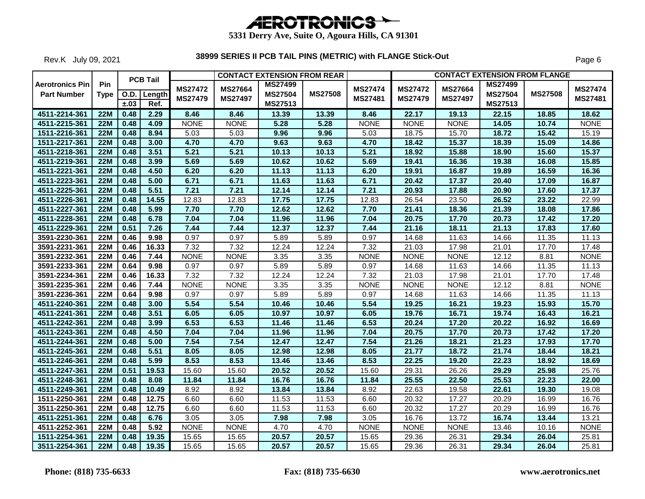Rev.K July 09, 2021

|                                              |             |                     | <b>PCB Tail</b> |                                  |                                  | <b>CONTACT EXTENSION FROM REAR</b>          |                |                                  |                                  | <b>CONTACT EXTENSION FROM FLANGE</b> |                                             |                |                           |
|----------------------------------------------|-------------|---------------------|-----------------|----------------------------------|----------------------------------|---------------------------------------------|----------------|----------------------------------|----------------------------------|--------------------------------------|---------------------------------------------|----------------|---------------------------|
| <b>Aerotronics Pin</b><br><b>Part Number</b> | Pin<br>Type | <b>O.D.</b><br>±.03 | Length<br>Ref.  | <b>MS27472</b><br><b>MS27479</b> | <b>MS27664</b><br><b>MS27497</b> | <b>MS27499</b><br><b>MS27504</b><br>MS27513 | <b>MS27508</b> | <b>MS27474</b><br><b>MS27481</b> | <b>MS27472</b><br><b>MS27479</b> | MS27664<br><b>MS27497</b>            | <b>MS27499</b><br><b>MS27504</b><br>MS27513 | <b>MS27508</b> | <b>MS27474</b><br>MS27481 |
| 4511-2214-361                                | 22M         | 0.48                | 2.29            | 8.46                             | 8.46                             | 13.39                                       | 13.39          | 8.46                             | 22.17                            | 19.13                                | 22.15                                       | 18.85          | 18.62                     |
| 4511-2215-361                                | <b>22M</b>  | 0.48                | 4.09            | <b>NONE</b>                      | <b>NONE</b>                      | 5.28                                        | 5.28           | <b>NONE</b>                      | <b>NONE</b>                      | <b>NONE</b>                          | 14.05                                       | 10.74          | <b>NONE</b>               |
| 1511-2216-361                                | <b>22M</b>  | 0.48                | 8.94            | 5.03                             | 5.03                             | 9.96                                        | 9.96           | 5.03                             | 18.75                            | 15.70                                | 18.72                                       | 15.42          | 15.19                     |
| 1511-2217-361                                | <b>22M</b>  | 0.48                | 3.00            | 4.70                             | 4.70                             | 9.63                                        | 9.63           | 4.70                             | 18.42                            | 15.37                                | 18.39                                       | 15.09          | 14.86                     |
| 4511-2218-361                                | <b>22M</b>  | 0.48                | 3.51            | 5.21                             | 5.21                             | 10.13                                       | 10.13          | 5.21                             | 18.92                            | 15.88                                | 18.90                                       | 15.60          | 15.37                     |
| 4511-2219-361                                | <b>22M</b>  | 0.48                | 3.99            | 5.69                             | 5.69                             | 10.62                                       | 10.62          | 5.69                             | 19.41                            | 16.36                                | 19.38                                       | 16.08          | 15.85                     |
| 4511-2221-361                                | <b>22M</b>  | 0.48                | 4.50            | 6.20                             | 6.20                             | 11.13                                       | 11.13          | 6.20                             | 19.91                            | 16.87                                | 19.89                                       | 16.59          | 16.36                     |
| 4511-2223-361                                | <b>22M</b>  | 0.48                | 5.00            | 6.71                             | 6.71                             | 11.63                                       | 11.63          | 6.71                             | 20.42                            | 17.37                                | 20.40                                       | 17.09          | 16.87                     |
| 4511-2225-361                                | <b>22M</b>  | 0.48                | 5.51            | 7.21                             | 7.21                             | 12.14                                       | 12.14          | 7.21                             | 20.93                            | 17.88                                | 20.90                                       | 17.60          | 17.37                     |
| 4511-2226-361                                | <b>22M</b>  | 0.48                | 14.55           | 12.83                            | 12.83                            | 17.75                                       | 17.75          | 12.83                            | 26.54                            | 23.50                                | 26.52                                       | 23.22          | 22.99                     |
| 4511-2227-361                                | <b>22M</b>  | 0.48                | 5.99            | 7.70                             | 7.70                             | 12.62                                       | 12.62          | 7.70                             | 21.41                            | 18.36                                | 21.39                                       | 18.08          | 17.86                     |
| 4511-2228-361                                | <b>22M</b>  | 0.48                | 6.78            | 7.04                             | 7.04                             | 11.96                                       | 11.96          | 7.04                             | 20.75                            | 17.70                                | 20.73                                       | 17.42          | 17.20                     |
| 4511-2229-361                                | <b>22M</b>  | 0.51                | 7.26            | 7.44                             | 7.44                             | 12.37                                       | 12.37          | 7.44                             | 21.16                            | 18.11                                | 21.13                                       | 17.83          | 17.60                     |
| 3591-2230-361                                | 22M         | 0.46                | 9.98            | 0.97                             | 0.97                             | 5.89                                        | 5.89           | 0.97                             | 14.68                            | 11.63                                | 14.66                                       | 11.35          | 11.13                     |
| 3591-2231-361                                | <b>22M</b>  | 0.46                | 16.33           | 7.32                             | 7.32                             | 12.24                                       | 12.24          | 7.32                             | 21.03                            | 17.98                                | 21.01                                       | 17.70          | 17.48                     |
| 3591-2232-361                                | 22M         | 0.46                | 7.44            | <b>NONE</b>                      | <b>NONE</b>                      | 3.35                                        | 3.35           | <b>NONE</b>                      | <b>NONE</b>                      | <b>NONE</b>                          | 12.12                                       | 8.81           | <b>NONE</b>               |
| 3591-2233-361                                | 22M         | 0.64                | 9.98            | 0.97                             | 0.97                             | 5.89                                        | 5.89           | 0.97                             | 14.68                            | 11.63                                | 14.66                                       | 11.35          | 11.13                     |
| 3591-2234-361                                | <b>22M</b>  | 0.46                | 16.33           | 7.32                             | 7.32                             | 12.24                                       | 12.24          | 7.32                             | 21.03                            | 17.98                                | 21.01                                       | 17.70          | 17.48                     |
| 3591-2235-361                                | <b>22M</b>  | 0.46                | 7.44            | <b>NONE</b>                      | <b>NONE</b>                      | 3.35                                        | 3.35           | <b>NONE</b>                      | <b>NONE</b>                      | <b>NONE</b>                          | 12.12                                       | 8.81           | <b>NONE</b>               |
| 3591-2236-361                                | <b>22M</b>  | 0.64                | 9.98            | 0.97                             | 0.97                             | 5.89                                        | 5.89           | 0.97                             | 14.68                            | 11.63                                | 14.66                                       | 11.35          | 11.13                     |
| 4511-2240-361                                | <b>22M</b>  | 0.48                | 3.00            | 5.54                             | 5.54                             | 10.46                                       | 10.46          | 5.54                             | 19.25                            | 16.21                                | 19.23                                       | 15.93          | 15.70                     |
| 4511-2241-361                                | <b>22M</b>  | 0.48                | 3.51            | 6.05                             | 6.05                             | 10.97                                       | 10.97          | 6.05                             | 19.76                            | 16.71                                | 19.74                                       | 16.43          | 16.21                     |
| 4511-2242-361                                | 22M         | 0.48                | 3.99            | 6.53                             | 6.53                             | 11.46                                       | 11.46          | 6.53                             | 20.24                            | 17.20                                | 20.22                                       | 16.92          | 16.69                     |
| 4511-2243-361                                | <b>22M</b>  | 0.48                | 4.50            | 7.04                             | 7.04                             | 11.96                                       | 11.96          | 7.04                             | 20.75                            | 17.70                                | 20.73                                       | 17.42          | 17.20                     |
| 4511-2244-361                                | <b>22M</b>  | 0.48                | 5.00            | 7.54                             | 7.54                             | 12.47                                       | 12.47          | 7.54                             | 21.26                            | 18.21                                | 21.23                                       | 17.93          | 17.70                     |
| 4511-2245-361                                | <b>22M</b>  | 0.48                | 5.51            | 8.05                             | 8.05                             | 12.98                                       | 12.98          | 8.05                             | 21.77                            | 18.72                                | 21.74                                       | 18.44          | 18.21                     |
| 4511-2246-361                                | <b>22M</b>  | 0.48                | 5.99            | 8.53                             | 8.53                             | 13.46                                       | 13.46          | 8.53                             | 22.25                            | 19.20                                | 22.23                                       | 18.92          | 18.69                     |
| 4511-2247-361                                | 22M         | 0.51                | 19.53           | 15.60                            | 15.60                            | 20.52                                       | 20.52          | 15.60                            | 29.31                            | 26.26                                | 29.29                                       | 25.98          | 25.76                     |
| 4511-2248-361                                | <b>22M</b>  | 0.48                | 8.08            | 11.84                            | 11.84                            | 16.76                                       | 16.76          | 11.84                            | 25.55                            | 22.50                                | 25.53                                       | 22.23          | 22.00                     |
| 4511-2249-361                                | <b>22M</b>  | 0.48                | 10.49           | 8.92                             | 8.92                             | 13.84                                       | 13.84          | 8.92                             | 22.63                            | 19.58                                | 22.61                                       | 19.30          | 19.08                     |
| 1511-2250-361                                | <b>22M</b>  | 0.48                | 12.75           | 6.60                             | 6.60                             | 11.53                                       | 11.53          | 6.60                             | 20.32                            | 17.27                                | 20.29                                       | 16.99          | 16.76                     |
| 3511-2250-361                                | <b>22M</b>  | 0.48                | 12.75           | 6.60                             | 6.60                             | 11.53                                       | 11.53          | 6.60                             | 20.32                            | 17.27                                | 20.29                                       | 16.99          | 16.76                     |
| 4511-2251-361                                | <b>22M</b>  | 0.48                | 6.76            | 3.05                             | 3.05                             | 7.98                                        | 7.98           | 3.05                             | 16.76                            | 13.72                                | 16.74                                       | 13.44          | 13.21                     |
| 4511-2252-361                                | <b>22M</b>  | 0.48                | 5.92            | <b>NONE</b>                      | <b>NONE</b>                      | 4.70                                        | 4.70           | <b>NONE</b>                      | <b>NONE</b>                      | <b>NONE</b>                          | 13.46                                       | 10.16          | <b>NONE</b>               |
| 1511-2254-361                                | <b>22M</b>  | 0.48                | 19.35           | 15.65                            | 15.65                            | 20.57                                       | 20.57          | 15.65                            | 29.36                            | 26.31                                | 29.34                                       | 26.04          | 25.81                     |
| 3511-2254-361                                | <b>22M</b>  | 0.48                | 19.35           | 15.65                            | 15.65                            | 20.57                                       | 20.57          | 15.65                            | 29.36                            | 26.31                                | 29.34                                       | 26.04          | 25.81                     |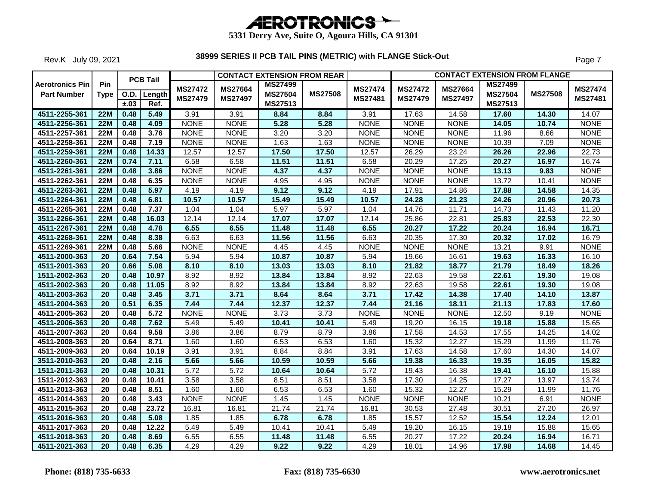Rev.K July 09, 2021

|                                              |                    |      | <b>PCB Tail</b>     |                                  |                                  | <b>CONTACT EXTENSION FROM REAR</b>          |                |                           |                                  |                                  | <b>CONTACT EXTENSION FROM FLANGE</b>        |                |                           |
|----------------------------------------------|--------------------|------|---------------------|----------------------------------|----------------------------------|---------------------------------------------|----------------|---------------------------|----------------------------------|----------------------------------|---------------------------------------------|----------------|---------------------------|
| <b>Aerotronics Pin</b><br><b>Part Number</b> | Pin<br><b>Type</b> | ±.03 | O.D. Length<br>Ref. | <b>MS27472</b><br><b>MS27479</b> | <b>MS27664</b><br><b>MS27497</b> | <b>MS27499</b><br><b>MS27504</b><br>MS27513 | <b>MS27508</b> | <b>MS27474</b><br>MS27481 | <b>MS27472</b><br><b>MS27479</b> | <b>MS27664</b><br><b>MS27497</b> | <b>MS27499</b><br><b>MS27504</b><br>MS27513 | <b>MS27508</b> | <b>MS27474</b><br>MS27481 |
| 4511-2255-361                                | 22M                | 0.48 | 5.49                | 3.91                             | 3.91                             | 8.84                                        | 8.84           | 3.91                      | 17.63                            | 14.58                            | 17.60                                       | 14.30          | 14.07                     |
| 4511-2256-361                                | 22M                | 0.48 | 4.09                | <b>NONE</b>                      | <b>NONE</b>                      | 5.28                                        | 5.28           | <b>NONE</b>               | <b>NONE</b>                      | <b>NONE</b>                      | 14.05                                       | 10.74          | <b>NONE</b>               |
| 4511-2257-361                                | <b>22M</b>         | 0.48 | 3.76                | <b>NONE</b>                      | <b>NONE</b>                      | 3.20                                        | 3.20           | <b>NONE</b>               | <b>NONE</b>                      | <b>NONE</b>                      | 11.96                                       | 8.66           | <b>NONE</b>               |
| 4511-2258-361                                | <b>22M</b>         | 0.48 | 7.19                | <b>NONE</b>                      | <b>NONE</b>                      | 1.63                                        | 1.63           | <b>NONE</b>               | <b>NONE</b>                      | <b>NONE</b>                      | 10.39                                       | 7.09           | <b>NONE</b>               |
| 4511-2259-361                                | <b>22M</b>         | 0.48 | 14.33               | 12.57                            | 12.57                            | 17.50                                       | 17.50          | 12.57                     | 26.29                            | 23.24                            | 26.26                                       | 22.96          | 22.73                     |
| 4511-2260-361                                | <b>22M</b>         | 0.74 | 7.11                | 6.58                             | 6.58                             | 11.51                                       | 11.51          | 6.58                      | 20.29                            | 17.25                            | 20.27                                       | 16.97          | 16.74                     |
| 4511-2261-361                                | <b>22M</b>         | 0.48 | 3.86                | <b>NONE</b>                      | <b>NONE</b>                      | 4.37                                        | 4.37           | <b>NONE</b>               | <b>NONE</b>                      | <b>NONE</b>                      | 13.13                                       | 9.83           | <b>NONE</b>               |
| 4511-2262-361                                | <b>22M</b>         | 0.48 | 6.35                | <b>NONE</b>                      | <b>NONE</b>                      | 4.95                                        | 4.95           | <b>NONE</b>               | <b>NONE</b>                      | <b>NONE</b>                      | 13.72                                       | 10.41          | <b>NONE</b>               |
| 4511-2263-361                                | 22M                | 0.48 | 5.97                | 4.19                             | 4.19                             | 9.12                                        | 9.12           | 4.19                      | 17.91                            | 14.86                            | 17.88                                       | 14.58          | 14.35                     |
| 4511-2264-361                                | 22M                | 0.48 | 6.81                | 10.57                            | 10.57                            | 15.49                                       | 15.49          | 10.57                     | 24.28                            | 21.23                            | 24.26                                       | 20.96          | 20.73                     |
| 4511-2265-361                                | <b>22M</b>         | 0.48 | 7.37                | 1.04                             | 1.04                             | 5.97                                        | 5.97           | 1.04                      | 14.76                            | 11.71                            | 14.73                                       | 11.43          | 11.20                     |
| 3511-2266-361                                | <b>22M</b>         | 0.48 | 16.03               | 12.14                            | 12.14                            | 17.07                                       | 17.07          | 12.14                     | 25.86                            | 22.81                            | 25.83                                       | 22.53          | 22.30                     |
| 4511-2267-361                                | <b>22M</b>         | 0.48 | 4.78                | 6.55                             | 6.55                             | 11.48                                       | 11.48          | 6.55                      | 20.27                            | 17.22                            | 20.24                                       | 16.94          | 16.71                     |
| 4511-2268-361                                | 22M                | 0.48 | 8.38                | 6.63                             | 6.63                             | 11.56                                       | 11.56          | 6.63                      | 20.35                            | 17.30                            | 20.32                                       | 17.02          | 16.79                     |
| 4511-2269-361                                | <b>22M</b>         | 0.48 | 5.66                | <b>NONE</b>                      | <b>NONE</b>                      | 4.45                                        | 4.45           | <b>NONE</b>               | <b>NONE</b>                      | <b>NONE</b>                      | 13.21                                       | 9.91           | <b>NONE</b>               |
| 4511-2000-363                                | 20                 | 0.64 | 7.54                | 5.94                             | 5.94                             | 10.87                                       | 10.87          | 5.94                      | 19.66                            | 16.61                            | 19.63                                       | 16.33          | 16.10                     |
| 4511-2001-363                                | $\overline{20}$    | 0.66 | 5.08                | 8.10                             | 8.10                             | 13.03                                       | 13.03          | 8.10                      | 21.82                            | 18.77                            | 21.79                                       | 18.49          | 18.26                     |
| 1511-2002-363                                | 20                 | 0.48 | 10.97               | 8.92                             | 8.92                             | 13.84                                       | 13.84          | 8.92                      | 22.63                            | 19.58                            | 22.61                                       | 19.30          | 19.08                     |
| 4511-2002-363                                | 20                 | 0.48 | 11.05               | 8.92                             | 8.92                             | 13.84                                       | 13.84          | 8.92                      | 22.63                            | 19.58                            | 22.61                                       | 19.30          | 19.08                     |
| 4511-2003-363                                | 20                 | 0.48 | 3.45                | 3.71                             | 3.71                             | 8.64                                        | 8.64           | 3.71                      | 17.42                            | 14.38                            | 17.40                                       | 14.10          | 13.87                     |
| 4511-2004-363                                | $\overline{20}$    | 0.51 | 6.35                | 7.44                             | 7.44                             | 12.37                                       | 12.37          | 7.44                      | 21.16                            | 18.11                            | 21.13                                       | 17.83          | 17.60                     |
| 4511-2005-363                                | 20                 | 0.48 | 5.72                | <b>NONE</b>                      | <b>NONE</b>                      | 3.73                                        | 3.73           | <b>NONE</b>               | <b>NONE</b>                      | <b>NONE</b>                      | 12.50                                       | 9.19           | <b>NONE</b>               |
| 4511-2006-363                                | 20                 | 0.48 | 7.62                | 5.49                             | 5.49                             | 10.41                                       | 10.41          | 5.49                      | 19.20                            | 16.15                            | 19.18                                       | 15.88          | 15.65                     |
| 4511-2007-363                                | 20                 | 0.64 | 9.58                | 3.86                             | 3.86                             | 8.79                                        | 8.79           | 3.86                      | 17.58                            | 14.53                            | 17.55                                       | 14.25          | 14.02                     |
| 4511-2008-363                                | 20                 | 0.64 | 8.71                | 1.60                             | 1.60                             | 6.53                                        | 6.53           | 1.60                      | 15.32                            | 12.27                            | 15.29                                       | 11.99          | 11.76                     |
| 4511-2009-363                                | 20                 | 0.64 | 10.19               | 3.91                             | 3.91                             | 8.84                                        | 8.84           | 3.91                      | 17.63                            | 14.58                            | 17.60                                       | 14.30          | 14.07                     |
| 3511-2010-363                                | 20                 | 0.48 | 2.16                | 5.66                             | 5.66                             | 10.59                                       | 10.59          | 5.66                      | 19.38                            | 16.33                            | 19.35                                       | 16.05          | 15.82                     |
| 1511-2011-363                                | 20                 | 0.48 | 10.31               | 5.72                             | 5.72                             | 10.64                                       | 10.64          | 5.72                      | 19.43                            | 16.38                            | 19.41                                       | 16.10          | 15.88                     |
| 1511-2012-363                                | 20                 | 0.48 | 10.41               | 3.58                             | 3.58                             | 8.51                                        | 8.51           | 3.58                      | 17.30                            | 14.25                            | 17.27                                       | 13.97          | 13.74                     |
| 4511-2013-363                                | 20                 | 0.48 | 8.51                | 1.60                             | 1.60                             | 6.53                                        | 6.53           | 1.60                      | 15.32                            | 12.27                            | 15.29                                       | 11.99          | 11.76                     |
| 4511-2014-363                                | 20                 | 0.48 | 3.43                | <b>NONE</b>                      | <b>NONE</b>                      | 1.45                                        | 1.45           | <b>NONE</b>               | <b>NONE</b>                      | <b>NONE</b>                      | 10.21                                       | 6.91           | <b>NONE</b>               |
| 4511-2015-363                                | 20                 | 0.48 | 23.72               | 16.81                            | 16.81                            | 21.74                                       | 21.74          | 16.81                     | 30.53                            | 27.48                            | 30.51                                       | 27.20          | 26.97                     |
| 4511-2016-363                                | 20                 | 0.48 | 5.08                | 1.85                             | 1.85                             | 6.78                                        | 6.78           | 1.85                      | 15.57                            | 12.52                            | 15.54                                       | 12.24          | 12.01                     |
| 4511-2017-363                                | 20                 | 0.48 | 12.22               | 5.49                             | 5.49                             | 10.41                                       | 10.41          | 5.49                      | 19.20                            | 16.15                            | 19.18                                       | 15.88          | 15.65                     |
| 4511-2018-363                                | $\overline{20}$    | 0.48 | 8.69                | 6.55                             | 6.55                             | 11.48                                       | 11.48          | 6.55                      | 20.27                            | 17.22                            | 20.24                                       | 16.94          | 16.71                     |
| 4511-2021-363                                | $\overline{20}$    | 0.48 | 6.35                | 4.29                             | 4.29                             | 9.22                                        | 9.22           | 4.29                      | 18.01                            | 14.96                            | 17.98                                       | 14.68          | 14.45                     |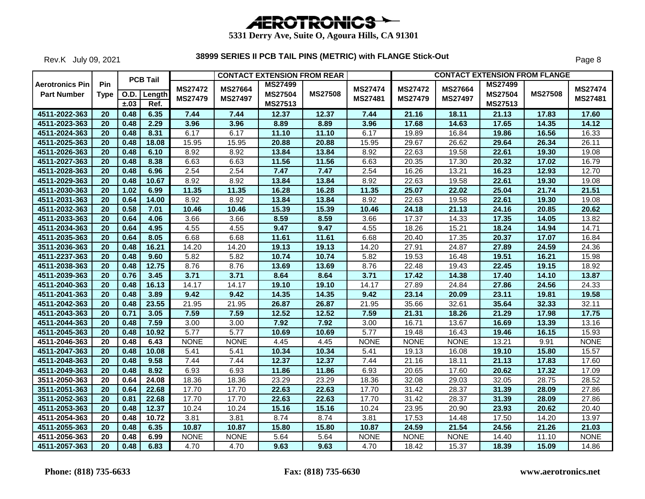**5331 Derry Ave, Suite O, Agoura Hills, CA 91301**

Rev.K July 09, 2021

|                                              |                    |      | <b>PCB Tail</b>     |                                  |                                  | <b>CONTACT EXTENSION FROM REAR</b>          |                |                           |                                  |                                  |                                             | <b>CONTACT EXTENSION FROM FLANGE</b> |                           |
|----------------------------------------------|--------------------|------|---------------------|----------------------------------|----------------------------------|---------------------------------------------|----------------|---------------------------|----------------------------------|----------------------------------|---------------------------------------------|--------------------------------------|---------------------------|
| <b>Aerotronics Pin</b><br><b>Part Number</b> | Pin<br><b>Type</b> | ±.03 | O.D. Length<br>Ref. | <b>MS27472</b><br><b>MS27479</b> | <b>MS27664</b><br><b>MS27497</b> | <b>MS27499</b><br><b>MS27504</b><br>MS27513 | <b>MS27508</b> | <b>MS27474</b><br>MS27481 | <b>MS27472</b><br><b>MS27479</b> | <b>MS27664</b><br><b>MS27497</b> | <b>MS27499</b><br><b>MS27504</b><br>MS27513 | <b>MS27508</b>                       | <b>MS27474</b><br>MS27481 |
| 4511-2022-363                                | 20                 | 0.48 | 6.35                | 7.44                             | 7.44                             | 12.37                                       | 12.37          | 7.44                      | 21.16                            | 18.11                            | 21.13                                       | 17.83                                | 17.60                     |
| 4511-2023-363                                | 20                 | 0.48 | 2.29                | 3.96                             | 3.96                             | 8.89                                        | 8.89           | 3.96                      | 17.68                            | 14.63                            | 17.65                                       | 14.35                                | 14.12                     |
| 4511-2024-363                                | 20                 | 0.48 | 8.31                | 6.17                             | 6.17                             | 11.10                                       | 11.10          | 6.17                      | 19.89                            | 16.84                            | 19.86                                       | 16.56                                | 16.33                     |
| 4511-2025-363                                | 20                 | 0.48 | 18.08               | 15.95                            | 15.95                            | 20.88                                       | 20.88          | 15.95                     | 29.67                            | 26.62                            | 29.64                                       | 26.34                                | 26.11                     |
| 4511-2026-363                                | 20                 | 0.48 | 6.10                | 8.92                             | 8.92                             | 13.84                                       | 13.84          | 8.92                      | 22.63                            | 19.58                            | 22.61                                       | 19.30                                | 19.08                     |
| 4511-2027-363                                | 20                 | 0.48 | 8.38                | 6.63                             | 6.63                             | 11.56                                       | 11.56          | 6.63                      | 20.35                            | 17.30                            | 20.32                                       | 17.02                                | 16.79                     |
| 4511-2028-363                                | 20                 | 0.48 | 6.96                | 2.54                             | 2.54                             | 7.47                                        | 7.47           | 2.54                      | 16.26                            | 13.21                            | 16.23                                       | 12.93                                | 12.70                     |
| 4511-2029-363                                | 20                 | 0.48 | 10.67               | 8.92                             | 8.92                             | 13.84                                       | 13.84          | 8.92                      | 22.63                            | 19.58                            | 22.61                                       | 19.30                                | 19.08                     |
| 4511-2030-363                                | 20                 | 1.02 | 6.99                | 11.35                            | 11.35                            | 16.28                                       | 16.28          | 11.35                     | 25.07                            | 22.02                            | 25.04                                       | 21.74                                | 21.51                     |
| 4511-2031-363                                | $\overline{20}$    | 0.64 | 14.00               | 8.92                             | 8.92                             | 13.84                                       | 13.84          | 8.92                      | 22.63                            | 19.58                            | 22.61                                       | 19.30                                | 19.08                     |
| 4511-2032-363                                | 20                 | 0.58 | 7.01                | 10.46                            | 10.46                            | 15.39                                       | 15.39          | 10.46                     | 24.18                            | 21.13                            | 24.16                                       | 20.85                                | 20.62                     |
| 4511-2033-363                                | 20                 | 0.64 | 4.06                | 3.66                             | 3.66                             | 8.59                                        | 8.59           | 3.66                      | 17.37                            | 14.33                            | 17.35                                       | 14.05                                | 13.82                     |
| 4511-2034-363                                | $\overline{20}$    | 0.64 | 4.95                | 4.55                             | 4.55                             | 9.47                                        | 9.47           | 4.55                      | 18.26                            | 15.21                            | 18.24                                       | 14.94                                | 14.71                     |
| 4511-2035-363                                | $\overline{20}$    | 0.64 | 8.05                | 6.68                             | 6.68                             | 11.61                                       | 11.61          | 6.68                      | 20.40                            | 17.35                            | 20.37                                       | 17.07                                | 16.84                     |
| 3511-2036-363                                | 20                 | 0.48 | 16.21               | 14.20                            | 14.20                            | 19.13                                       | 19.13          | 14.20                     | 27.91                            | 24.87                            | 27.89                                       | 24.59                                | 24.36                     |
| 4511-2237-363                                | $\overline{20}$    | 0.48 | 9.60                | 5.82                             | 5.82                             | 10.74                                       | 10.74          | 5.82                      | 19.53                            | 16.48                            | 19.51                                       | 16.21                                | 15.98                     |
| 4511-2038-363                                | $\overline{20}$    | 0.48 | 12.75               | 8.76                             | 8.76                             | 13.69                                       | 13.69          | 8.76                      | 22.48                            | 19.43                            | 22.45                                       | 19.15                                | 18.92                     |
| 4511-2039-363                                | 20                 | 0.76 | 3.45                | 3.71                             | 3.71                             | 8.64                                        | 8.64           | 3.71                      | 17.42                            | 14.38                            | 17.40                                       | 14.10                                | 13.87                     |
| 4511-2040-363                                | 20                 | 0.48 | 16.13               | 14.17                            | 14.17                            | 19.10                                       | 19.10          | 14.17                     | 27.89                            | 24.84                            | 27.86                                       | 24.56                                | 24.33                     |
| 4511-2041-363                                | $\overline{20}$    | 0.48 | 3.89                | 9.42                             | 9.42                             | 14.35                                       | 14.35          | 9.42                      | 23.14                            | 20.09                            | 23.11                                       | 19.81                                | 19.58                     |
| 4511-2042-363                                | $\overline{20}$    | 0.48 | 23.55               | 21.95                            | 21.95                            | 26.87                                       | 26.87          | 21.95                     | 35.66                            | 32.61                            | 35.64                                       | 32.33                                | 32.11                     |
| 4511-2043-363                                | 20                 | 0.71 | 3.05                | 7.59                             | 7.59                             | 12.52                                       | 12.52          | 7.59                      | 21.31                            | 18.26                            | 21.29                                       | 17.98                                | 17.75                     |
| 4511-2044-363                                | $\overline{20}$    | 0.48 | 7.59                | 3.00                             | 3.00                             | 7.92                                        | 7.92           | 3.00                      | 16.71                            | 13.67                            | 16.69                                       | 13.39                                | 13.16                     |
| 4511-2045-363                                | 20                 | 0.48 | 10.92               | 5.77                             | 5.77                             | 10.69                                       | 10.69          | 5.77                      | 19.48                            | 16.43                            | 19.46                                       | 16.15                                | 15.93                     |
| 4511-2046-363                                | 20                 | 0.48 | 6.43                | <b>NONE</b>                      | <b>NONE</b>                      | 4.45                                        | 4.45           | <b>NONE</b>               | <b>NONE</b>                      | <b>NONE</b>                      | 13.21                                       | 9.91                                 | <b>NONE</b>               |
| 4511-2047-363                                | 20                 | 0.48 | 10.08               | 5.41                             | 5.41                             | 10.34                                       | 10.34          | 5.41                      | 19.13                            | 16.08                            | 19.10                                       | 15.80                                | 15.57                     |
| 4511-2048-363                                | 20                 | 0.48 | 9.58                | 7.44                             | 7.44                             | 12.37                                       | 12.37          | 7.44                      | 21.16                            | 18.11                            | 21.13                                       | 17.83                                | 17.60                     |
| 4511-2049-363                                | 20                 | 0.48 | 8.92                | 6.93                             | 6.93                             | 11.86                                       | 11.86          | 6.93                      | 20.65                            | 17.60                            | 20.62                                       | 17.32                                | 17.09                     |
| 3511-2050-363                                | 20                 | 0.64 | 24.08               | 18.36                            | 18.36                            | 23.29                                       | 23.29          | 18.36                     | 32.08                            | 29.03                            | 32.05                                       | 28.75                                | 28.52                     |
| 3511-2051-363                                | 20                 | 0.64 | 22.68               | 17.70                            | 17.70                            | 22.63                                       | 22.63          | 17.70                     | 31.42                            | 28.37                            | 31.39                                       | 28.09                                | 27.86                     |
| 3511-2052-363                                | 20                 | 0.81 | 22.68               | 17.70                            | 17.70                            | 22.63                                       | 22.63          | 17.70                     | 31.42                            | 28.37                            | 31.39                                       | 28.09                                | 27.86                     |
| 4511-2053-363                                | 20                 | 0.48 | 12.37               | 10.24                            | 10.24                            | 15.16                                       | 15.16          | 10.24                     | 23.95                            | 20.90                            | 23.93                                       | 20.62                                | 20.40                     |
| 4511-2054-363                                | 20                 | 0.48 | 10.72               | 3.81                             | 3.81                             | 8.74                                        | 8.74           | 3.81                      | 17.53                            | 14.48                            | 17.50                                       | 14.20                                | 13.97                     |
| 4511-2055-363                                | 20                 | 0.48 | 6.35                | 10.87                            | 10.87                            | 15.80                                       | 15.80          | 10.87                     | 24.59                            | 21.54                            | 24.56                                       | 21.26                                | 21.03                     |
| 4511-2056-363                                | 20                 | 0.48 | 6.99                | <b>NONE</b>                      | <b>NONE</b>                      | 5.64                                        | 5.64           | <b>NONE</b>               | <b>NONE</b>                      | <b>NONE</b>                      | 14.40                                       | 11.10                                | <b>NONE</b>               |
| 4511-2057-363                                | $\overline{20}$    | 0.48 | 6.83                | 4.70                             | 4.70                             | 9.63                                        | 9.63           | 4.70                      | 18.42                            | 15.37                            | 18.39                                       | 15.09                                | 14.86                     |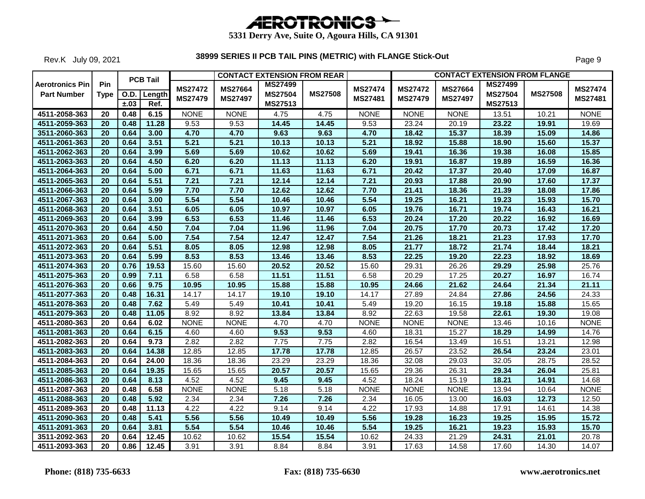**5331 Derry Ave, Suite O, Agoura Hills, CA 91301**

Rev.K July 09, 2021

|                                              |                 |             | <b>PCB Tail</b> |                                  |                                  | <b>CONTACT EXTENSION FROM REAR</b> |                |                                  |                                  | <b>CONTACT EXTENSION FROM FLANGE</b> |                                  |                |                           |
|----------------------------------------------|-----------------|-------------|-----------------|----------------------------------|----------------------------------|------------------------------------|----------------|----------------------------------|----------------------------------|--------------------------------------|----------------------------------|----------------|---------------------------|
| <b>Aerotronics Pin</b><br><b>Part Number</b> | Pin<br>Type     | <b>O.D.</b> | Length          | <b>MS27472</b><br><b>MS27479</b> | <b>MS27664</b><br><b>MS27497</b> | <b>MS27499</b><br><b>MS27504</b>   | <b>MS27508</b> | <b>MS27474</b><br><b>MS27481</b> | <b>MS27472</b><br><b>MS27479</b> | MS27664<br>MS27497                   | <b>MS27499</b><br><b>MS27504</b> | <b>MS27508</b> | <b>MS27474</b><br>MS27481 |
|                                              |                 | ±.03        | Ref.            |                                  |                                  | MS27513                            |                |                                  |                                  |                                      | MS27513                          |                |                           |
| 4511-2058-363                                | 20              | 0.48        | 6.15            | <b>NONE</b>                      | <b>NONE</b>                      | 4.75                               | 4.75           | <b>NONE</b>                      | <b>NONE</b>                      | <b>NONE</b>                          | 13.51                            | 10.21          | <b>NONE</b>               |
| 4511-2059-363                                | 20              | 0.48        | 11.28           | 9.53                             | 9.53                             | 14.45                              | 14.45          | 9.53                             | 23.24                            | 20.19                                | 23.22                            | 19.91          | 19.69                     |
| 3511-2060-363                                | 20              | 0.64        | 3.00            | 4.70                             | 4.70                             | 9.63                               | 9.63           | 4.70                             | 18.42                            | 15.37                                | 18.39                            | 15.09          | 14.86                     |
| 4511-2061-363                                | 20              | 0.64        | 3.51            | 5.21                             | 5.21                             | 10.13                              | 10.13          | 5.21                             | 18.92                            | 15.88                                | 18.90                            | 15.60          | 15.37                     |
| 4511-2062-363                                | 20              | 0.64        | 3.99            | 5.69                             | 5.69                             | 10.62                              | 10.62          | 5.69                             | 19.41                            | 16.36                                | 19.38                            | 16.08          | 15.85                     |
| 4511-2063-363                                | 20              | 0.64        | 4.50            | 6.20                             | 6.20                             | 11.13                              | 11.13          | 6.20                             | 19.91                            | 16.87                                | 19.89                            | 16.59          | 16.36                     |
| 4511-2064-363                                | 20              | 0.64        | 5.00            | 6.71                             | 6.71                             | 11.63                              | 11.63          | 6.71                             | 20.42                            | 17.37                                | 20.40                            | 17.09          | 16.87                     |
| 4511-2065-363                                | 20              | 0.64        | 5.51            | 7.21                             | 7.21                             | 12.14                              | 12.14          | 7.21                             | 20.93                            | 17.88                                | 20.90                            | 17.60          | 17.37                     |
| 4511-2066-363                                | 20              | 0.64        | 5.99            | 7.70                             | 7.70                             | 12.62                              | 12.62          | 7.70                             | 21.41                            | 18.36                                | 21.39                            | 18.08          | 17.86                     |
| 4511-2067-363                                | 20              | 0.64        | 3.00            | 5.54                             | 5.54                             | 10.46                              | 10.46          | 5.54                             | 19.25                            | 16.21                                | 19.23                            | 15.93          | 15.70                     |
| 4511-2068-363                                | 20              | 0.64        | 3.51            | 6.05                             | 6.05                             | 10.97                              | 10.97          | 6.05                             | 19.76                            | 16.71                                | 19.74                            | 16.43          | 16.21                     |
| 4511-2069-363                                | 20              | 0.64        | 3.99            | 6.53                             | 6.53                             | 11.46                              | 11.46          | 6.53                             | 20.24                            | 17.20                                | 20.22                            | 16.92          | 16.69                     |
| 4511-2070-363                                | 20              | 0.64        | 4.50            | 7.04                             | 7.04                             | 11.96                              | 11.96          | 7.04                             | 20.75                            | 17.70                                | 20.73                            | 17.42          | 17.20                     |
| 4511-2071-363                                | 20              | 0.64        | 5.00            | 7.54                             | 7.54                             | 12.47                              | 12.47          | 7.54                             | 21.26                            | 18.21                                | 21.23                            | 17.93          | 17.70                     |
| 4511-2072-363                                | 20              | 0.64        | 5.51            | 8.05                             | 8.05                             | 12.98                              | 12.98          | 8.05                             | 21.77                            | 18.72                                | 21.74                            | 18.44          | 18.21                     |
| 4511-2073-363                                | $\overline{20}$ | 0.64        | 5.99            | 8.53                             | 8.53                             | 13.46                              | 13.46          | 8.53                             | 22.25                            | 19.20                                | 22.23                            | 18.92          | 18.69                     |
| 4511-2074-363                                | $\overline{20}$ | 0.76        | 19.53           | 15.60                            | 15.60                            | 20.52                              | 20.52          | 15.60                            | 29.31                            | 26.26                                | 29.29                            | 25.98          | 25.76                     |
| 4511-2075-363                                | 20              | 0.99        | 7.11            | 6.58                             | 6.58                             | 11.51                              | 11.51          | 6.58                             | 20.29                            | 17.25                                | 20.27                            | 16.97          | 16.74                     |
| 4511-2076-363                                | 20              | 0.66        | 9.75            | 10.95                            | 10.95                            | 15.88                              | 15.88          | 10.95                            | 24.66                            | 21.62                                | 24.64                            | 21.34          | 21.11                     |
| 4511-2077-363                                | 20              | 0.48        | 16.31           | 14.17                            | 14.17                            | 19.10                              | 19.10          | 14.17                            | 27.89                            | 24.84                                | 27.86                            | 24.56          | 24.33                     |
| 4511-2078-363                                | $\overline{20}$ | 0.48        | 7.62            | 5.49                             | 5.49                             | 10.41                              | 10.41          | 5.49                             | 19.20                            | 16.15                                | 19.18                            | 15.88          | 15.65                     |
| 4511-2079-363                                | 20              | 0.48        | 11.05           | 8.92                             | 8.92                             | 13.84                              | 13.84          | 8.92                             | 22.63                            | 19.58                                | 22.61                            | 19.30          | 19.08                     |
| 4511-2080-363                                | 20              | 0.64        | 6.02            | <b>NONE</b>                      | <b>NONE</b>                      | 4.70                               | 4.70           | <b>NONE</b>                      | <b>NONE</b>                      | <b>NONE</b>                          | 13.46                            | 10.16          | <b>NONE</b>               |
| 4511-2081-363                                | 20              | 0.64        | 6.15            | 4.60                             | 4.60                             | 9.53                               | 9.53           | 4.60                             | 18.31                            | 15.27                                | 18.29                            | 14.99          | 14.76                     |
| 4511-2082-363                                | 20              | 0.64        | 9.73            | 2.82                             | 2.82                             | 7.75                               | 7.75           | 2.82                             | 16.54                            | 13.49                                | 16.51                            | 13.21          | 12.98                     |
| 4511-2083-363                                | 20              | 0.64        | 14.38           | 12.85                            | 12.85                            | 17.78                              | 17.78          | 12.85                            | 26.57                            | 23.52                                | 26.54                            | 23.24          | 23.01                     |
| 4511-2084-363                                | 20              | 0.64        | 24.00           | 18.36                            | 18.36                            | 23.29                              | 23.29          | 18.36                            | 32.08                            | 29.03                                | 32.05                            | 28.75          | 28.52                     |
| 4511-2085-363                                | 20              | 0.64        | 19.35           | 15.65                            | 15.65                            | 20.57                              | 20.57          | 15.65                            | 29.36                            | 26.31                                | 29.34                            | 26.04          | 25.81                     |
| 4511-2086-363                                | 20              | 0.64        | 8.13            | 4.52                             | 4.52                             | 9.45                               | 9.45           | 4.52                             | 18.24                            | 15.19                                | 18.21                            | 14.91          | 14.68                     |
| 4511-2087-363                                | 20              | 0.48        | 6.58            | <b>NONE</b>                      | <b>NONE</b>                      | 5.18                               | 5.18           | <b>NONE</b>                      | <b>NONE</b>                      | <b>NONE</b>                          | 13.94                            | 10.64          | <b>NONE</b>               |
| 4511-2088-363                                | 20              | 0.48        | 5.92            | 2.34                             | 2.34                             | 7.26                               | 7.26           | 2.34                             | 16.05                            | 13.00                                | 16.03                            | 12.73          | 12.50                     |
| 4511-2089-363                                | 20              | 0.48        | 11.13           | 4.22                             | 4.22                             | 9.14                               | 9.14           | 4.22                             | 17.93                            | 14.88                                | 17.91                            | 14.61          | 14.38                     |
| 4511-2090-363                                | 20              | 0.48        | 5.41            | 5.56                             | 5.56                             | 10.49                              | 10.49          | 5.56                             | 19.28                            | 16.23                                | 19.25                            | 15.95          | 15.72                     |
| 4511-2091-363                                | 20              | 0.64        | 3.81            | 5.54                             | 5.54                             | 10.46                              | 10.46          | 5.54                             | 19.25                            | 16.21                                | 19.23                            | 15.93          | 15.70                     |
| 3511-2092-363                                | 20              | 0.64        | 12.45           | 10.62                            | 10.62                            | 15.54                              | 15.54          | 10.62                            | 24.33                            | 21.29                                | 24.31                            | 21.01          | 20.78                     |
| 4511-2093-363                                | $\overline{20}$ | 0.86        | 12.45           | 3.91                             | 3.91                             | 8.84                               | 8.84           | 3.91                             | 17.63                            | 14.58                                | 17.60                            | 14.30          | 14.07                     |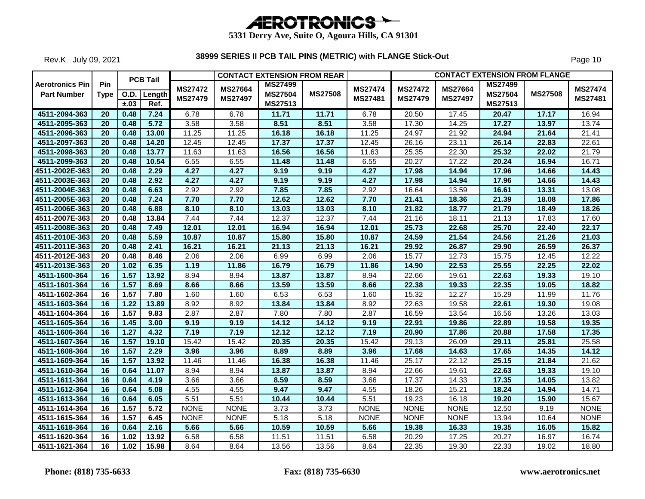Rev.K July 09, 2021

|                                              |                 |                   | <b>PCB Tail</b>       |                                  |                                  | <b>CONTACT EXTENSION FROM REAR</b>          |                |                                  |                                  |                                  |                                             | <b>CONTACT EXTENSION FROM FLANGE</b> |                           |
|----------------------------------------------|-----------------|-------------------|-----------------------|----------------------------------|----------------------------------|---------------------------------------------|----------------|----------------------------------|----------------------------------|----------------------------------|---------------------------------------------|--------------------------------------|---------------------------|
| <b>Aerotronics Pin</b><br><b>Part Number</b> | Pin<br>Type     | O.D.<br>±.03      | <b>Length</b><br>Ref. | <b>MS27472</b><br><b>MS27479</b> | <b>MS27664</b><br><b>MS27497</b> | <b>MS27499</b><br><b>MS27504</b><br>MS27513 | <b>MS27508</b> | <b>MS27474</b><br><b>MS27481</b> | <b>MS27472</b><br><b>MS27479</b> | <b>MS27664</b><br><b>MS27497</b> | <b>MS27499</b><br><b>MS27504</b><br>MS27513 | <b>MS27508</b>                       | <b>MS27474</b><br>MS27481 |
| 4511-2094-363                                | 20              | 0.48              | 7.24                  | 6.78                             | 6.78                             | 11.71                                       | 11.71          | 6.78                             | 20.50                            | 17.45                            | 20.47                                       | 17.17                                | 16.94                     |
| 4511-2095-363                                | 20              | 0.48              | 5.72                  | 3.58                             | 3.58                             | 8.51                                        | 8.51           | 3.58                             | 17.30                            | 14.25                            | 17.27                                       | 13.97                                | 13.74                     |
| 4511-2096-363                                | 20              | 0.48              | 13.00                 | 11.25                            | 11.25                            | 16.18                                       | 16.18          | 11.25                            | 24.97                            | 21.92                            | 24.94                                       | 21.64                                | 21.41                     |
| 4511-2097-363                                | 20              | 0.48              | 14.20                 | 12.45                            | 12.45                            | 17.37                                       | 17.37          | 12.45                            | 26.16                            | 23.11                            | 26.14                                       | 22.83                                | 22.61                     |
| 4511-2098-363                                | 20              | 0.48              | 13.77                 | 11.63                            | 11.63                            | 16.56                                       | 16.56          | 11.63                            | 25.35                            | 22.30                            | 25.32                                       | 22.02                                | 21.79                     |
| 4511-2099-363                                | $\overline{20}$ | 0.48              | 10.54                 | 6.55                             | 6.55                             | 11.48                                       | 11.48          | 6.55                             | 20.27                            | 17.22                            | 20.24                                       | 16.94                                | 16.71                     |
| 4511-2002E-363                               | $\overline{20}$ | 0.48              | 2.29                  | 4.27                             | 4.27                             | 9.19                                        | 9.19           | 4.27                             | 17.98                            | 14.94                            | 17.96                                       | 14.66                                | 14.43                     |
| 4511-2003E-363                               | 20              | 0.48              | 2.92                  | 4.27                             | 4.27                             | 9.19                                        | 9.19           | 4.27                             | 17.98                            | 14.94                            | 17.96                                       | 14.66                                | 14.43                     |
| 4511-2004E-363                               | $\overline{20}$ | 0.48              | 6.63                  | 2.92                             | 2.92                             | 7.85                                        | 7.85           | 2.92                             | 16.64                            | 13.59                            | 16.61                                       | 13.31                                | 13.08                     |
| 4511-2005E-363                               | 20              | 0.48              | 7.24                  | 7.70                             | 7.70                             | 12.62                                       | 12.62          | 7.70                             | 21.41                            | 18.36                            | 21.39                                       | 18.08                                | 17.86                     |
| 4511-2006E-363                               | 20              | 0.48              | 6.88                  | 8.10                             | 8.10                             | 13.03                                       | 13.03          | 8.10                             | 21.82                            | 18.77                            | 21.79                                       | 18.49                                | 18.26                     |
| 4511-2007E-363                               | 20              | 0.48              | 13.84                 | 7.44                             | 7.44                             | 12.37                                       | 12.37          | 7.44                             | 21.16                            | 18.11                            | 21.13                                       | 17.83                                | 17.60                     |
| 4511-2008E-363                               | 20              | 0.48              | 7.49                  | 12.01                            | 12.01                            | 16.94                                       | 16.94          | 12.01                            | 25.73                            | 22.68                            | 25.70                                       | 22.40                                | 22.17                     |
| 4511-2010E-363                               | 20              | 0.48              | 5.59                  | 10.87                            | 10.87                            | 15.80                                       | 15.80          | 10.87                            | 24.59                            | 21.54                            | 24.56                                       | 21.26                                | 21.03                     |
| 4511-2011E-363                               | 20              | 0.48              | 2.41                  | 16.21                            | 16.21                            | 21.13                                       | 21.13          | 16.21                            | 29.92                            | 26.87                            | 29.90                                       | 26.59                                | 26.37                     |
| 4511-2012E-363                               | $\overline{20}$ | 0.48              | 8.46                  | 2.06                             | 2.06                             | 6.99                                        | 6.99           | 2.06                             | 15.77                            | 12.73                            | 15.75                                       | 12.45                                | 12.22                     |
| 4511-2013E-363                               | 20              | 1.02              | 6.35                  | 1.19                             | 11.86                            | 16.79                                       | 16.79          | 11.86                            | 14.90                            | 22.53                            | 25.55                                       | 22.25                                | 22.02                     |
| 4511-1600-364                                | 16              | 1.57              | 13.92                 | 8.94                             | 8.94                             | 13.87                                       | 13.87          | 8.94                             | 22.66                            | 19.61                            | 22.63                                       | 19.33                                | 19.10                     |
| 4511-1601-364                                | 16              | 1.57              | 8.69                  | 8.66                             | 8.66                             | 13.59                                       | 13.59          | 8.66                             | 22.38                            | 19.33                            | 22.35                                       | 19.05                                | 18.82                     |
| 4511-1602-364                                | 16              | 1.57              | 7.80                  | 1.60                             | 1.60                             | 6.53                                        | 6.53           | 1.60                             | 15.32                            | 12.27                            | 15.29                                       | 11.99                                | 11.76                     |
| 4511-1603-364                                | 16              | 1.22              | 13.89                 | 8.92                             | 8.92                             | 13.84                                       | 13.84          | 8.92                             | 22.63                            | 19.58                            | 22.61                                       | 19.30                                | 19.08                     |
| 4511-1604-364                                | 16              | 1.57              | 9.83                  | 2.87                             | 2.87                             | 7.80                                        | 7.80           | 2.87                             | 16.59                            | 13.54                            | 16.56                                       | 13.26                                | 13.03                     |
| 4511-1605-364                                | 16              | $\overline{1.45}$ | 3.00                  | 9.19                             | 9.19                             | 14.12                                       | 14.12          | 9.19                             | 22.91                            | 19.86                            | 22.89                                       | 19.58                                | 19.35                     |
| 4511-1606-364                                | 16              | 1.27              | 4.32                  | 7.19                             | 7.19                             | 12.12                                       | 12.12          | 7.19                             | 20.90                            | 17.86                            | 20.88                                       | 17.58                                | 17.35                     |
| 4511-1607-364                                | 16              | 1.57              | 19.10                 | 15.42                            | 15.42                            | 20.35                                       | 20.35          | 15.42                            | 29.13                            | 26.09                            | 29.11                                       | 25.81                                | 25.58                     |
| 4511-1608-364                                | 16              | 1.57              | 2.29                  | 3.96                             | 3.96                             | 8.89                                        | 8.89           | 3.96                             | 17.68                            | 14.63                            | 17.65                                       | 14.35                                | 14.12                     |
| 4511-1609-364                                | 16              | 1.57              | 13.92                 | 11.46                            | 11.46                            | 16.38                                       | 16.38          | 11.46                            | 25.17                            | 22.12                            | 25.15                                       | 21.84                                | 21.62                     |
| 4511-1610-364                                | 16              | 0.64              | 11.07                 | 8.94                             | 8.94                             | 13.87                                       | 13.87          | 8.94                             | 22.66                            | 19.61                            | 22.63                                       | 19.33                                | 19.10                     |
| 4511-1611-364                                | 16              | 0.64              | 4.19                  | 3.66                             | 3.66                             | 8.59                                        | 8.59           | 3.66                             | 17.37                            | 14.33                            | 17.35                                       | 14.05                                | 13.82                     |
| 4511-1612-364                                | 16              | 0.64              | 5.08                  | 4.55                             | 4.55                             | 9.47                                        | 9.47           | 4.55                             | 18.26                            | 15.21                            | 18.24                                       | 14.94                                | 14.71                     |
| 4511-1613-364                                | 16              | 0.64              | 6.05                  | 5.51                             | 5.51                             | 10.44                                       | 10.44          | 5.51                             | 19.23                            | 16.18                            | 19.20                                       | 15.90                                | 15.67                     |
| 4511-1614-364                                | 16              | 1.57              | 5.72                  | <b>NONE</b>                      | <b>NONE</b>                      | 3.73                                        | 3.73           | <b>NONE</b>                      | <b>NONE</b>                      | <b>NONE</b>                      | 12.50                                       | 9.19                                 | <b>NONE</b>               |
| 4511-1615-364                                | 16              | 1.57              | 6.45                  | <b>NONE</b>                      | <b>NONE</b>                      | 5.18                                        | 5.18           | <b>NONE</b>                      | <b>NONE</b>                      | <b>NONE</b>                      | 13.94                                       | 10.64                                | <b>NONE</b>               |
| 4511-1618-364                                | 16              | 0.64              | 2.16                  | 5.66                             | 5.66                             | 10.59                                       | 10.59          | 5.66                             | 19.38                            | 16.33                            | 19.35                                       | 16.05                                | 15.82                     |
| 4511-1620-364                                | 16              | 1.02              | 13.92                 | 6.58                             | 6.58                             | 11.51                                       | 11.51          | 6.58                             | 20.29                            | 17.25                            | 20.27                                       | 16.97                                | 16.74                     |
| 4511-1621-364                                | 16              | 1.02              | 15.98                 | 8.64                             | 8.64                             | 13.56                                       | 13.56          | 8.64                             | 22.35                            | 19.30                            | 22.33                                       | 19.02                                | 18.80                     |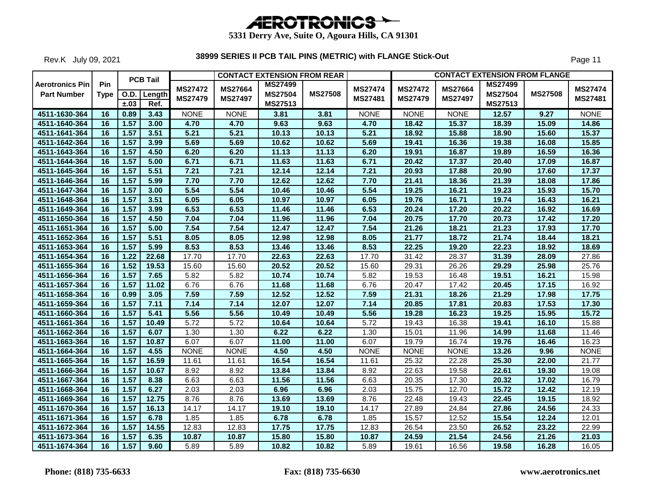Rev.K July 09, 2021

|                        |             |                   | <b>PCB Tail</b>     |                |                | <b>CONTACT EXTENSION FROM REAR</b> |                |                |                |             | <b>CONTACT EXTENSION FROM FLANGE</b> |                |                |
|------------------------|-------------|-------------------|---------------------|----------------|----------------|------------------------------------|----------------|----------------|----------------|-------------|--------------------------------------|----------------|----------------|
| <b>Aerotronics Pin</b> | <b>Pin</b>  |                   |                     | <b>MS27472</b> | <b>MS27664</b> | <b>MS27499</b>                     |                | <b>MS27474</b> | <b>MS27472</b> | MS27664     | <b>MS27499</b>                       |                | <b>MS27474</b> |
| <b>Part Number</b>     | <b>Type</b> | ±.03              | O.D. Length<br>Ref. | <b>MS27479</b> | <b>MS27497</b> | <b>MS27504</b><br>MS27513          | <b>MS27508</b> | MS27481        | <b>MS27479</b> | MS27497     | <b>MS27504</b><br>MS27513            | <b>MS27508</b> | MS27481        |
| 4511-1630-364          | 16          | 0.89              | 3.43                | <b>NONE</b>    | <b>NONE</b>    | 3.81                               | 3.81           | <b>NONE</b>    | <b>NONE</b>    | <b>NONE</b> | 12.57                                | 9.27           | <b>NONE</b>    |
| 4511-1640-364          | 16          | 1.57              | 3.00                | 4.70           | 4.70           | 9.63                               | 9.63           | 4.70           | 18.42          | 15.37       | 18.39                                | 15.09          | 14.86          |
| 4511-1641-364          | 16          | 1.57              | 3.51                | 5.21           | 5.21           | 10.13                              | 10.13          | 5.21           | 18.92          | 15.88       | 18.90                                | 15.60          | 15.37          |
| 4511-1642-364          | 16          | 1.57              | 3.99                | 5.69           | 5.69           | 10.62                              | 10.62          | 5.69           | 19.41          | 16.36       | 19.38                                | 16.08          | 15.85          |
| 4511-1643-364          | 16          | 1.57              | 4.50                | 6.20           | 6.20           | 11.13                              | 11.13          | 6.20           | 19.91          | 16.87       | 19.89                                | 16.59          | 16.36          |
| 4511-1644-364          | 16          | 1.57              | 5.00                | 6.71           | 6.71           | 11.63                              | 11.63          | 6.71           | 20.42          | 17.37       | 20.40                                | 17.09          | 16.87          |
| 4511-1645-364          | 16          | 1.57              | 5.51                | 7.21           | 7.21           | 12.14                              | 12.14          | 7.21           | 20.93          | 17.88       | 20.90                                | 17.60          | 17.37          |
| 4511-1646-364          | 16          | 1.57              | 5.99                | 7.70           | 7.70           | 12.62                              | 12.62          | 7.70           | 21.41          | 18.36       | 21.39                                | 18.08          | 17.86          |
| 4511-1647-364          | 16          | 1.57              | 3.00                | 5.54           | 5.54           | 10.46                              | 10.46          | 5.54           | 19.25          | 16.21       | 19.23                                | 15.93          | 15.70          |
| 4511-1648-364          | 16          | 1.57              | 3.51                | 6.05           | 6.05           | 10.97                              | 10.97          | 6.05           | 19.76          | 16.71       | 19.74                                | 16.43          | 16.21          |
| 4511-1649-364          | 16          | 1.57              | 3.99                | 6.53           | 6.53           | 11.46                              | 11.46          | 6.53           | 20.24          | 17.20       | 20.22                                | 16.92          | 16.69          |
| 4511-1650-364          | 16          | 1.57              | 4.50                | 7.04           | 7.04           | 11.96                              | 11.96          | 7.04           | 20.75          | 17.70       | 20.73                                | 17.42          | 17.20          |
| 4511-1651-364          | 16          | 1.57              | 5.00                | 7.54           | 7.54           | 12.47                              | 12.47          | 7.54           | 21.26          | 18.21       | 21.23                                | 17.93          | 17.70          |
| 4511-1652-364          | 16          | 1.57              | 5.51                | 8.05           | 8.05           | 12.98                              | 12.98          | 8.05           | 21.77          | 18.72       | 21.74                                | 18.44          | 18.21          |
| 4511-1653-364          | 16          | 1.57              | 5.99                | 8.53           | 8.53           | 13.46                              | 13.46          | 8.53           | 22.25          | 19.20       | 22.23                                | 18.92          | 18.69          |
| 4511-1654-364          | 16          | 1.22              | 22.68               | 17.70          | 17.70          | 22.63                              | 22.63          | 17.70          | 31.42          | 28.37       | 31.39                                | 28.09          | 27.86          |
| 4511-1655-364          | 16          | 1.52              | 19.53               | 15.60          | 15.60          | 20.52                              | 20.52          | 15.60          | 29.31          | 26.26       | 29.29                                | 25.98          | 25.76          |
| 4511-1656-364          | 16          | 1.57              | 7.65                | 5.82           | 5.82           | 10.74                              | 10.74          | 5.82           | 19.53          | 16.48       | 19.51                                | 16.21          | 15.98          |
| 4511-1657-364          | 16          | 1.57              | 11.02               | 6.76           | 6.76           | 11.68                              | 11.68          | 6.76           | 20.47          | 17.42       | 20.45                                | 17.15          | 16.92          |
| 4511-1658-364          | 16          | 0.99              | 3.05                | 7.59           | 7.59           | 12.52                              | 12.52          | 7.59           | 21.31          | 18.26       | 21.29                                | 17.98          | 17.75          |
| 4511-1659-364          | 16          | 1.57              | 7.11                | 7.14           | 7.14           | 12.07                              | 12.07          | 7.14           | 20.85          | 17.81       | 20.83                                | 17.53          | 17.30          |
| 4511-1660-364          | 16          | 1.57              | 5.41                | 5.56           | 5.56           | 10.49                              | 10.49          | 5.56           | 19.28          | 16.23       | 19.25                                | 15.95          | 15.72          |
| 4511-1661-364          | 16          | 1.57              | 10.49               | 5.72           | 5.72           | 10.64                              | 10.64          | 5.72           | 19.43          | 16.38       | 19.41                                | 16.10          | 15.88          |
| 4511-1662-364          | 16          | 1.57              | 6.07                | 1.30           | 1.30           | 6.22                               | 6.22           | 1.30           | 15.01          | 11.96       | 14.99                                | 11.68          | 11.46          |
| 4511-1663-364          | 16          | 1.57              | 10.87               | 6.07           | 6.07           | 11.00                              | 11.00          | 6.07           | 19.79          | 16.74       | 19.76                                | 16.46          | 16.23          |
| 4511-1664-364          | 16          | 1.57              | 4.55                | NONE           | <b>NONE</b>    | 4.50                               | 4.50           | <b>NONE</b>    | <b>NONE</b>    | <b>NONE</b> | 13.26                                | 9.96           | <b>NONE</b>    |
| 4511-1665-364          | 16          | 1.57              | 16.59               | 11.61          | 11.61          | 16.54                              | 16.54          | 11.61          | 25.32          | 22.28       | 25.30                                | 22.00          | 21.77          |
| 4511-1666-364          | 16          | 1.57              | 10.67               | 8.92           | 8.92           | 13.84                              | 13.84          | 8.92           | 22.63          | 19.58       | 22.61                                | 19.30          | 19.08          |
| 4511-1667-364          | 16          | 1.57              | 8.38                | 6.63           | 6.63           | 11.56                              | 11.56          | 6.63           | 20.35          | 17.30       | 20.32                                | 17.02          | 16.79          |
| 4511-1668-364          | 16          | 1.57              | 6.27                | 2.03           | 2.03           | 6.96                               | 6.96           | 2.03           | 15.75          | 12.70       | 15.72                                | 12.42          | 12.19          |
| 4511-1669-364          | 16          | 1.57              | 12.75               | 8.76           | 8.76           | 13.69                              | 13.69          | 8.76           | 22.48          | 19.43       | 22.45                                | 19.15          | 18.92          |
| 4511-1670-364          | 16          | 1.57              | 16.13               | 14.17          | 14.17          | 19.10                              | 19.10          | 14.17          | 27.89          | 24.84       | 27.86                                | 24.56          | 24.33          |
| 4511-1671-364          | 16          | 1.57              | 6.78                | 1.85           | 1.85           | 6.78                               | 6.78           | 1.85           | 15.57          | 12.52       | 15.54                                | 12.24          | 12.01          |
| 4511-1672-364          | 16          | 1.57              | 14.55               | 12.83          | 12.83          | 17.75                              | 17.75          | 12.83          | 26.54          | 23.50       | 26.52                                | 23.22          | 22.99          |
| 4511-1673-364          | 16          | 1.57              | 6.35                | 10.87          | 10.87          | 15.80                              | 15.80          | 10.87          | 24.59          | 21.54       | 24.56                                | 21.26          | 21.03          |
| 4511-1674-364          | 16          | $\overline{1.57}$ | 9.60                | 5.89           | 5.89           | 10.82                              | 10.82          | 5.89           | 19.61          | 16.56       | 19.58                                | 16.28          | 16.05          |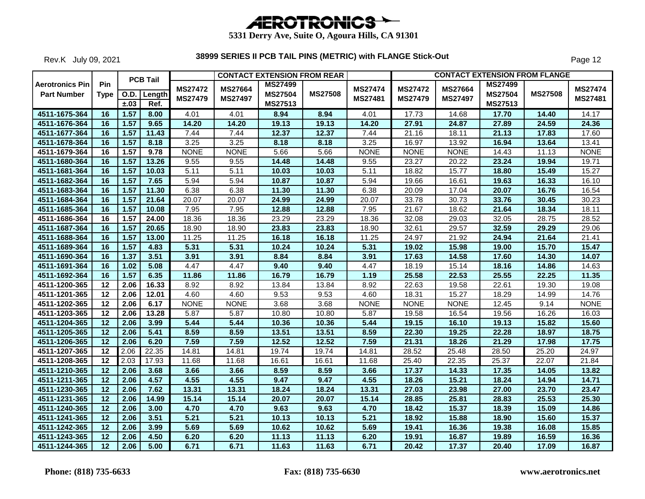Rev.K July 09, 2021

|                        |                 |      | <b>PCB Tail</b>     |                |                | <b>CONTACT EXTENSION FROM REAR</b> |                |                |                |                |                    | <b>CONTACT EXTENSION FROM FLANGE</b> |                |
|------------------------|-----------------|------|---------------------|----------------|----------------|------------------------------------|----------------|----------------|----------------|----------------|--------------------|--------------------------------------|----------------|
| <b>Aerotronics Pin</b> | <b>Pin</b>      |      |                     | <b>MS27472</b> | <b>MS27664</b> | <b>MS27499</b>                     |                | <b>MS27474</b> | <b>MS27472</b> | <b>MS27664</b> | <b>MS27499</b>     |                                      | <b>MS27474</b> |
| <b>Part Number</b>     | <b>Type</b>     | ±.03 | O.D. Length<br>Ref. | MS27479        | <b>MS27497</b> | <b>MS27504</b><br>MS27513          | <b>MS27508</b> | MS27481        | <b>MS27479</b> | <b>MS27497</b> | MS27504<br>MS27513 | <b>MS27508</b>                       | MS27481        |
| 4511-1675-364          | 16              | 1.57 | 8.00                | 4.01           | 4.01           | 8.94                               | 8.94           | 4.01           | 17.73          | 14.68          | 17.70              | 14.40                                | 14.17          |
| 4511-1676-364          | 16              | 1.57 | 9.65                | 14.20          | 14.20          | 19.13                              | 19.13          | 14.20          | 27.91          | 24.87          | 27.89              | 24.59                                | 24.36          |
| 4511-1677-364          | 16              | 1.57 | 11.43               | 7.44           | 7.44           | 12.37                              | 12.37          | 7.44           | 21.16          | 18.11          | 21.13              | 17.83                                | 17.60          |
| 4511-1678-364          | 16              | 1.57 | 8.18                | 3.25           | 3.25           | 8.18                               | 8.18           | 3.25           | 16.97          | 13.92          | 16.94              | 13.64                                | 13.41          |
| 4511-1679-364          | 16              | 1.57 | 9.78                | <b>NONE</b>    | <b>NONE</b>    | 5.66                               | 5.66           | <b>NONE</b>    | <b>NONE</b>    | <b>NONE</b>    | 14.43              | 11.13                                | <b>NONE</b>    |
| 4511-1680-364          | 16              | 1.57 | 13.26               | 9.55           | 9.55           | 14.48                              | 14.48          | 9.55           | 23.27          | 20.22          | 23.24              | 19.94                                | 19.71          |
| 4511-1681-364          | 16              | 1.57 | 10.03               | 5.11           | 5.11           | 10.03                              | 10.03          | 5.11           | 18.82          | 15.77          | 18.80              | 15.49                                | 15.27          |
| 4511-1682-364          | 16              | 1.57 | 7.65                | 5.94           | 5.94           | 10.87                              | 10.87          | 5.94           | 19.66          | 16.61          | 19.63              | 16.33                                | 16.10          |
| 4511-1683-364          | 16              | 1.57 | 11.30               | 6.38           | 6.38           | 11.30                              | 11.30          | 6.38           | 20.09          | 17.04          | 20.07              | 16.76                                | 16.54          |
| 4511-1684-364          | 16              | 1.57 | 21.64               | 20.07          | 20.07          | 24.99                              | 24.99          | 20.07          | 33.78          | 30.73          | 33.76              | 30.45                                | 30.23          |
| 4511-1685-364          | 16              | 1.57 | 10.08               | 7.95           | 7.95           | 12.88                              | 12.88          | 7.95           | 21.67          | 18.62          | 21.64              | 18.34                                | 18.11          |
| 4511-1686-364          | 16              | 1.57 | 24.00               | 18.36          | 18.36          | 23.29                              | 23.29          | 18.36          | 32.08          | 29.03          | 32.05              | 28.75                                | 28.52          |
| 4511-1687-364          | 16              | 1.57 | 20.65               | 18.90          | 18.90          | 23.83                              | 23.83          | 18.90          | 32.61          | 29.57          | 32.59              | 29.29                                | 29.06          |
| 4511-1688-364          | 16              | 1.57 | 13.00               | 11.25          | 11.25          | 16.18                              | 16.18          | 11.25          | 24.97          | 21.92          | 24.94              | 21.64                                | 21.41          |
| 4511-1689-364          | 16              | 1.57 | 4.83                | 5.31           | 5.31           | 10.24                              | 10.24          | 5.31           | 19.02          | 15.98          | 19.00              | 15.70                                | 15.47          |
| 4511-1690-364          | 16              | 1.37 | 3.51                | 3.91           | 3.91           | 8.84                               | 8.84           | 3.91           | 17.63          | 14.58          | 17.60              | 14.30                                | 14.07          |
| 4511-1691-364          | 16              | 1.02 | 5.08                | 4.47           | 4.47           | 9.40                               | 9.40           | 4.47           | 18.19          | 15.14          | 18.16              | 14.86                                | 14.63          |
| 4511-1692-364          | 16              | 1.57 | 6.35                | 11.86          | 11.86          | 16.79                              | 16.79          | 1.19           | 25.58          | 22.53          | 25.55              | 22.25                                | 11.35          |
| 4511-1200-365          | 12              | 2.06 | 16.33               | 8.92           | 8.92           | 13.84                              | 13.84          | 8.92           | 22.63          | 19.58          | 22.61              | 19.30                                | 19.08          |
| 4511-1201-365          | 12              | 2.06 | 12.01               | 4.60           | 4.60           | 9.53                               | 9.53           | 4.60           | 18.31          | 15.27          | 18.29              | 14.99                                | 14.76          |
| 4511-1202-365          | $\overline{12}$ | 2.06 | 6.17                | <b>NONE</b>    | <b>NONE</b>    | 3.68                               | 3.68           | <b>NONE</b>    | <b>NONE</b>    | <b>NONE</b>    | 12.45              | 9.14                                 | <b>NONE</b>    |
| 4511-1203-365          | 12              | 2.06 | 13.28               | 5.87           | 5.87           | 10.80                              | 10.80          | 5.87           | 19.58          | 16.54          | 19.56              | 16.26                                | 16.03          |
| 4511-1204-365          | 12              | 2.06 | 3.99                | 5.44           | 5.44           | 10.36                              | 10.36          | 5.44           | 19.15          | 16.10          | 19.13              | 15.82                                | 15.60          |
| 4511-1205-365          | 12              | 2.06 | 5.41                | 8.59           | 8.59           | 13.51                              | 13.51          | 8.59           | 22.30          | 19.25          | 22.28              | 18.97                                | 18.75          |
| 4511-1206-365          | 12              | 2.06 | 6.20                | 7.59           | 7.59           | 12.52                              | 12.52          | 7.59           | 21.31          | 18.26          | 21.29              | 17.98                                | 17.75          |
| 4511-1207-365          | 12              | 2.06 | 22.35               | 14.81          | 14.81          | 19.74                              | 19.74          | 14.81          | 28.52          | 25.48          | 28.50              | 25.20                                | 24.97          |
| 4511-1208-365          | 12              | 2.03 | 17.93               | 11.68          | 11.68          | 16.61                              | 16.61          | 11.68          | 25.40          | 22.35          | 25.37              | 22.07                                | 21.84          |
| 4511-1210-365          | 12              | 2.06 | 3.68                | 3.66           | 3.66           | 8.59                               | 8.59           | 3.66           | 17.37          | 14.33          | 17.35              | 14.05                                | 13.82          |
| 4511-1211-365          | 12              | 2.06 | 4.57                | 4.55           | 4.55           | 9.47                               | 9.47           | 4.55           | 18.26          | 15.21          | 18.24              | 14.94                                | 14.71          |
| 4511-1230-365          | 12              | 2.06 | 7.62                | 13.31          | 13.31          | 18.24                              | 18.24          | 13.31          | 27.03          | 23.98          | 27.00              | 23.70                                | 23.47          |
| 4511-1231-365          | 12              | 2.06 | 14.99               | 15.14          | 15.14          | 20.07                              | 20.07          | 15.14          | 28.85          | 25.81          | 28.83              | 25.53                                | 25.30          |
| 4511-1240-365          | 12              | 2.06 | 3.00                | 4.70           | 4.70           | 9.63                               | 9.63           | 4.70           | 18.42          | 15.37          | 18.39              | 15.09                                | 14.86          |
| 4511-1241-365          | 12              | 2.06 | 3.51                | 5.21           | 5.21           | 10.13                              | 10.13          | 5.21           | 18.92          | 15.88          | 18.90              | 15.60                                | 15.37          |
| 4511-1242-365          | 12              | 2.06 | 3.99                | 5.69           | 5.69           | 10.62                              | 10.62          | 5.69           | 19.41          | 16.36          | 19.38              | 16.08                                | 15.85          |
| 4511-1243-365          | $\overline{12}$ | 2.06 | 4.50                | 6.20           | 6.20           | 11.13                              | 11.13          | 6.20           | 19.91          | 16.87          | 19.89              | 16.59                                | 16.36          |
| 4511-1244-365          | $\overline{12}$ | 2.06 | 5.00                | 6.71           | 6.71           | 11.63                              | 11.63          | 6.71           | 20.42          | 17.37          | 20.40              | 17.09                                | 16.87          |